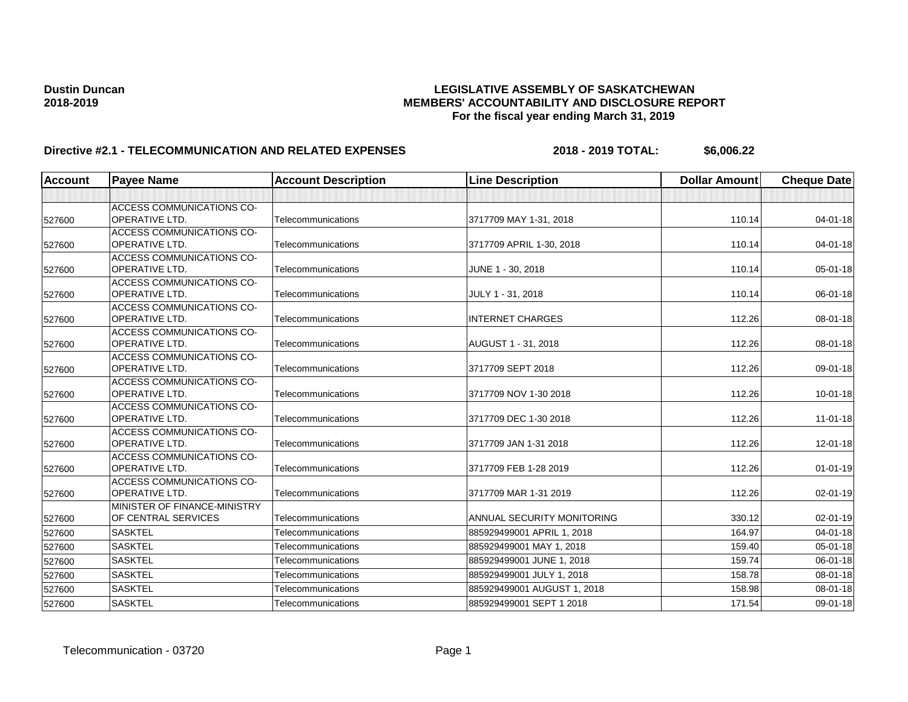| <b>Account</b> | <b>Payee Name</b>                                         | <b>Account Description</b> | <b>Line Description</b>     | <b>Dollar Amount</b> | <b>Cheque Date</b> |
|----------------|-----------------------------------------------------------|----------------------------|-----------------------------|----------------------|--------------------|
|                |                                                           |                            |                             |                      |                    |
|                | <b>ACCESS COMMUNICATIONS CO-</b>                          |                            |                             |                      |                    |
| 527600         | <b>OPERATIVE LTD.</b>                                     | Telecommunications         | 3717709 MAY 1-31, 2018      | 110.14               | $04 - 01 - 18$     |
|                | ACCESS COMMUNICATIONS CO-                                 |                            |                             |                      |                    |
| 527600         | <b>OPERATIVE LTD.</b>                                     | Telecommunications         | 3717709 APRIL 1-30, 2018    | 110.14               | $04 - 01 - 18$     |
|                | <b>ACCESS COMMUNICATIONS CO-</b>                          |                            |                             |                      |                    |
| 527600         | <b>OPERATIVE LTD.</b>                                     | Telecommunications         | JUNE 1 - 30, 2018           | 110.14               | 05-01-18           |
|                | <b>ACCESS COMMUNICATIONS CO-</b>                          |                            |                             |                      |                    |
| 527600         | <b>OPERATIVE LTD.</b>                                     | Telecommunications         | JULY 1 - 31, 2018           | 110.14               | 06-01-18           |
|                | <b>ACCESS COMMUNICATIONS CO-</b>                          |                            |                             |                      |                    |
| 527600         | <b>OPERATIVE LTD.</b>                                     | Telecommunications         | <b>INTERNET CHARGES</b>     | 112.26               | $08 - 01 - 18$     |
|                | <b>ACCESS COMMUNICATIONS CO-</b>                          |                            |                             |                      |                    |
| 527600         | <b>OPERATIVE LTD.</b>                                     | Telecommunications         | AUGUST 1 - 31, 2018         | 112.26               | 08-01-18           |
|                | <b>ACCESS COMMUNICATIONS CO-</b>                          |                            |                             |                      |                    |
| 527600         | <b>OPERATIVE LTD.</b>                                     | Telecommunications         | 3717709 SEPT 2018           | 112.26               | 09-01-18           |
|                | <b>ACCESS COMMUNICATIONS CO-</b>                          |                            |                             |                      |                    |
| 527600         | <b>OPERATIVE LTD.</b>                                     | Telecommunications         | 3717709 NOV 1-30 2018       | 112.26               | $10 - 01 - 18$     |
|                | <b>ACCESS COMMUNICATIONS CO-</b>                          |                            |                             |                      |                    |
| 527600         | OPERATIVE LTD.                                            | Telecommunications         | 3717709 DEC 1-30 2018       | 112.26               | $11-01-18$         |
|                | <b>ACCESS COMMUNICATIONS CO-</b>                          |                            |                             |                      |                    |
| 527600         | <b>OPERATIVE LTD.</b>                                     | Telecommunications         | 3717709 JAN 1-31 2018       | 112.26               | $12 - 01 - 18$     |
|                | <b>ACCESS COMMUNICATIONS CO-</b><br><b>OPERATIVE LTD.</b> | Telecommunications         | 3717709 FEB 1-28 2019       | 112.26               | $01 - 01 - 19$     |
| 527600         |                                                           |                            |                             |                      |                    |
|                | <b>ACCESS COMMUNICATIONS CO-</b><br><b>OPERATIVE LTD.</b> | Telecommunications         | 3717709 MAR 1-31 2019       | 112.26               | 02-01-19           |
| 527600         | MINISTER OF FINANCE-MINISTRY                              |                            |                             |                      |                    |
| 527600         | OF CENTRAL SERVICES                                       | Telecommunications         | ANNUAL SECURITY MONITORING  | 330.12               | $02 - 01 - 19$     |
|                |                                                           |                            |                             |                      |                    |
| 527600         | <b>SASKTEL</b>                                            | Telecommunications         | 885929499001 APRIL 1, 2018  | 164.97               | $04 - 01 - 18$     |
| 527600         | <b>SASKTEL</b>                                            | Telecommunications         | 885929499001 MAY 1, 2018    | 159.40               | $05 - 01 - 18$     |
| 527600         | <b>SASKTEL</b>                                            | Telecommunications         | 885929499001 JUNE 1, 2018   | 159.74               | 06-01-18           |
| 527600         | <b>SASKTEL</b>                                            | Telecommunications         | 885929499001 JULY 1, 2018   | 158.78               | 08-01-18           |
| 527600         | <b>SASKTEL</b>                                            | Telecommunications         | 885929499001 AUGUST 1, 2018 | 158.98               | 08-01-18           |
| 527600         | <b>SASKTEL</b>                                            | Telecommunications         | 885929499001 SEPT 1 2018    | 171.54               | 09-01-18           |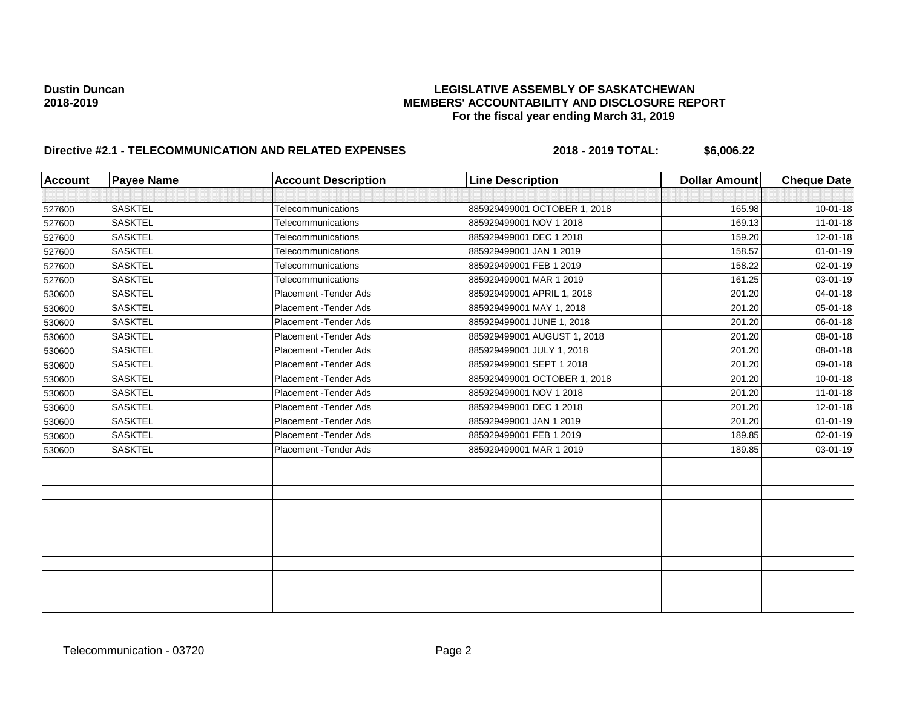| <b>Account</b> | <b>Payee Name</b> | <b>Account Description</b> | <b>Line Description</b>      | <b>Dollar Amount</b> | <b>Cheque Date</b> |
|----------------|-------------------|----------------------------|------------------------------|----------------------|--------------------|
|                |                   |                            |                              |                      |                    |
| 527600         | <b>SASKTEL</b>    | Telecommunications         | 885929499001 OCTOBER 1, 2018 | 165.98               | $10 - 01 - 18$     |
| 527600         | <b>SASKTEL</b>    | Telecommunications         | 885929499001 NOV 1 2018      | 169.13               | $11 - 01 - 18$     |
| 527600         | <b>SASKTEL</b>    | Telecommunications         | 885929499001 DEC 1 2018      | 159.20               | 12-01-18           |
| 527600         | <b>SASKTEL</b>    | Telecommunications         | 885929499001 JAN 1 2019      | 158.57               | $01 - 01 - 19$     |
| 527600         | <b>SASKTEL</b>    | Telecommunications         | 885929499001 FEB 1 2019      | 158.22               | 02-01-19           |
| 527600         | <b>SASKTEL</b>    | Telecommunications         | 885929499001 MAR 1 2019      | 161.25               | 03-01-19           |
| 530600         | <b>SASKTEL</b>    | Placement - Tender Ads     | 885929499001 APRIL 1, 2018   | 201.20               | $04 - 01 - 18$     |
| 530600         | <b>SASKTEL</b>    | Placement - Tender Ads     | 885929499001 MAY 1, 2018     | 201.20               | 05-01-18           |
| 530600         | <b>SASKTEL</b>    | Placement - Tender Ads     | 885929499001 JUNE 1, 2018    | 201.20               | 06-01-18           |
| 530600         | <b>SASKTEL</b>    | Placement - Tender Ads     | 885929499001 AUGUST 1, 2018  | 201.20               | 08-01-18           |
| 530600         | <b>SASKTEL</b>    | Placement - Tender Ads     | 885929499001 JULY 1, 2018    | 201.20               | $08 - 01 - 18$     |
| 530600         | <b>SASKTEL</b>    | Placement - Tender Ads     | 885929499001 SEPT 1 2018     | 201.20               | 09-01-18           |
| 530600         | <b>SASKTEL</b>    | Placement - Tender Ads     | 885929499001 OCTOBER 1, 2018 | 201.20               | $10 - 01 - 18$     |
| 530600         | <b>SASKTEL</b>    | Placement - Tender Ads     | 885929499001 NOV 1 2018      | 201.20               | $11-01-18$         |
| 530600         | <b>SASKTEL</b>    | Placement - Tender Ads     | 885929499001 DEC 1 2018      | 201.20               | 12-01-18           |
| 530600         | <b>SASKTEL</b>    | Placement - Tender Ads     | 885929499001 JAN 1 2019      | 201.20               | $01 - 01 - 19$     |
| 530600         | <b>SASKTEL</b>    | Placement - Tender Ads     | 885929499001 FEB 1 2019      | 189.85               | 02-01-19           |
| 530600         | <b>SASKTEL</b>    | Placement - Tender Ads     | 885929499001 MAR 1 2019      | 189.85               | 03-01-19           |
|                |                   |                            |                              |                      |                    |
|                |                   |                            |                              |                      |                    |
|                |                   |                            |                              |                      |                    |
|                |                   |                            |                              |                      |                    |
|                |                   |                            |                              |                      |                    |
|                |                   |                            |                              |                      |                    |
|                |                   |                            |                              |                      |                    |
|                |                   |                            |                              |                      |                    |
|                |                   |                            |                              |                      |                    |
|                |                   |                            |                              |                      |                    |
|                |                   |                            |                              |                      |                    |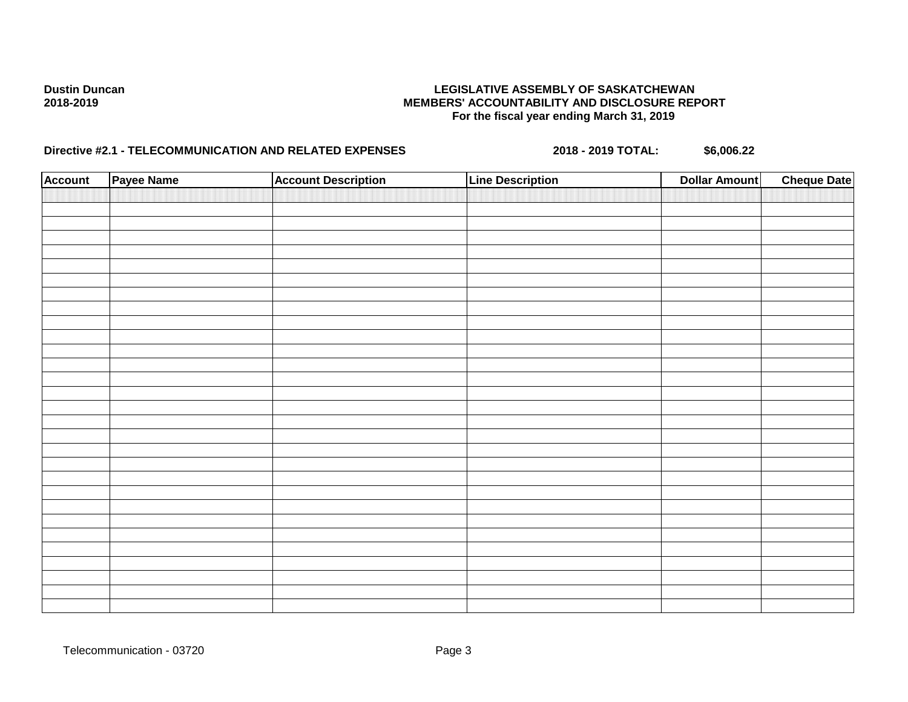| <b>Account</b> | Payee Name | <b>Account Description</b> | <b>Line Description</b> | <b>Dollar Amount</b> | <b>Cheque Date</b> |
|----------------|------------|----------------------------|-------------------------|----------------------|--------------------|
|                |            |                            |                         |                      |                    |
|                |            |                            |                         |                      |                    |
|                |            |                            |                         |                      |                    |
|                |            |                            |                         |                      |                    |
|                |            |                            |                         |                      |                    |
|                |            |                            |                         |                      |                    |
|                |            |                            |                         |                      |                    |
|                |            |                            |                         |                      |                    |
|                |            |                            |                         |                      |                    |
|                |            |                            |                         |                      |                    |
|                |            |                            |                         |                      |                    |
|                |            |                            |                         |                      |                    |
|                |            |                            |                         |                      |                    |
|                |            |                            |                         |                      |                    |
|                |            |                            |                         |                      |                    |
|                |            |                            |                         |                      |                    |
|                |            |                            |                         |                      |                    |
|                |            |                            |                         |                      |                    |
|                |            |                            |                         |                      |                    |
|                |            |                            |                         |                      |                    |
|                |            |                            |                         |                      |                    |
|                |            |                            |                         |                      |                    |
|                |            |                            |                         |                      |                    |
|                |            |                            |                         |                      |                    |
|                |            |                            |                         |                      |                    |
|                |            |                            |                         |                      |                    |
|                |            |                            |                         |                      |                    |
|                |            |                            |                         |                      |                    |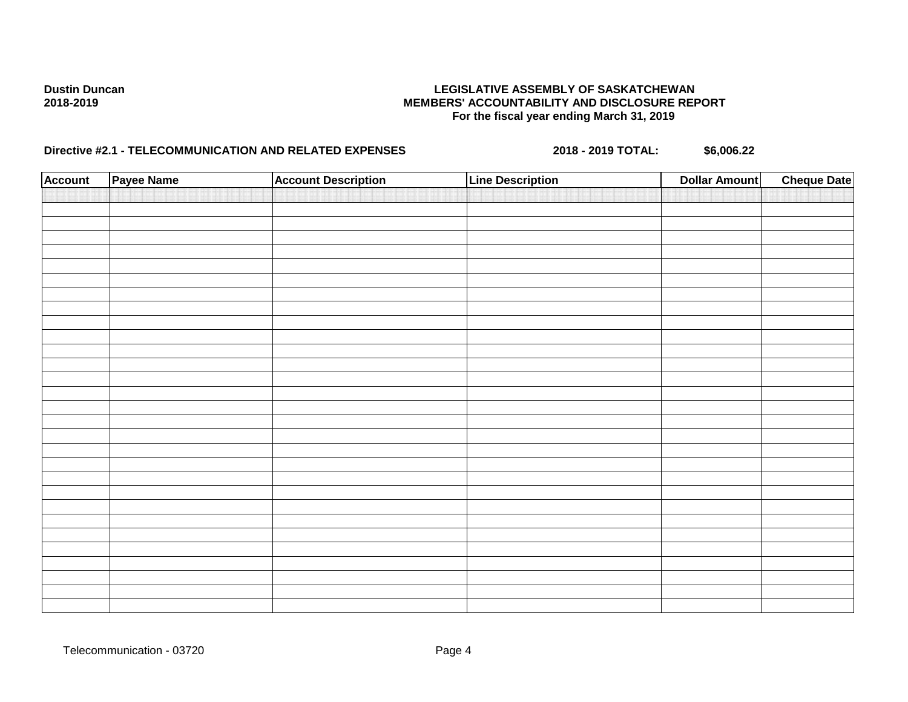| <b>Account</b> | Payee Name | <b>Account Description</b> | <b>Line Description</b> | <b>Dollar Amount</b> | <b>Cheque Date</b> |
|----------------|------------|----------------------------|-------------------------|----------------------|--------------------|
|                |            |                            |                         |                      |                    |
|                |            |                            |                         |                      |                    |
|                |            |                            |                         |                      |                    |
|                |            |                            |                         |                      |                    |
|                |            |                            |                         |                      |                    |
|                |            |                            |                         |                      |                    |
|                |            |                            |                         |                      |                    |
|                |            |                            |                         |                      |                    |
|                |            |                            |                         |                      |                    |
|                |            |                            |                         |                      |                    |
|                |            |                            |                         |                      |                    |
|                |            |                            |                         |                      |                    |
|                |            |                            |                         |                      |                    |
|                |            |                            |                         |                      |                    |
|                |            |                            |                         |                      |                    |
|                |            |                            |                         |                      |                    |
|                |            |                            |                         |                      |                    |
|                |            |                            |                         |                      |                    |
|                |            |                            |                         |                      |                    |
|                |            |                            |                         |                      |                    |
|                |            |                            |                         |                      |                    |
|                |            |                            |                         |                      |                    |
|                |            |                            |                         |                      |                    |
|                |            |                            |                         |                      |                    |
|                |            |                            |                         |                      |                    |
|                |            |                            |                         |                      |                    |
|                |            |                            |                         |                      |                    |
|                |            |                            |                         |                      |                    |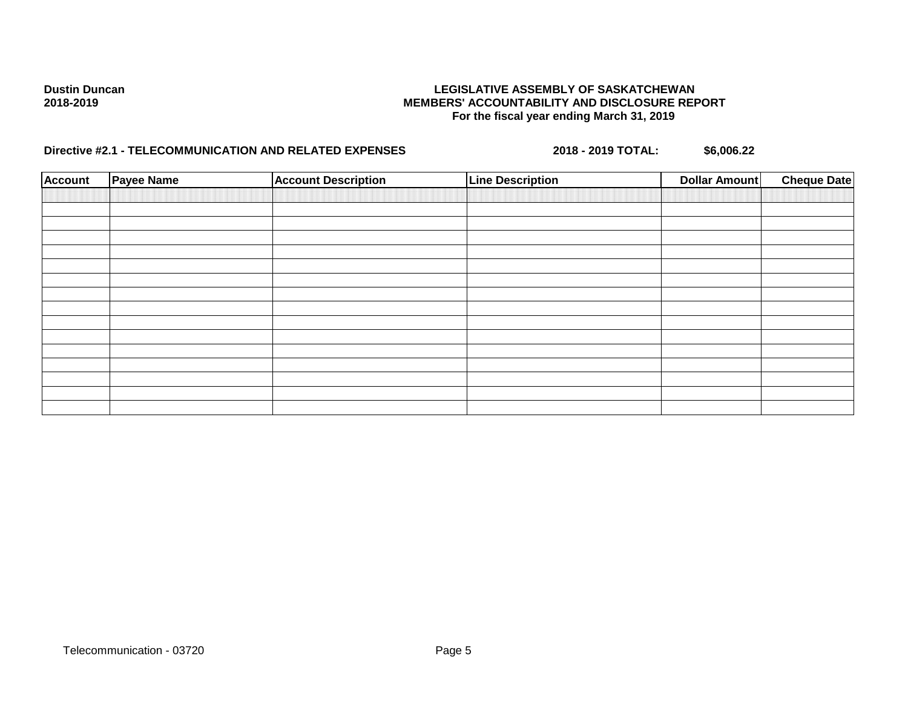| <b>Account</b> | <b>Payee Name</b> | <b>Account Description</b> | <b>Line Description</b> | <b>Dollar Amount</b> | <b>Cheque Date</b> |
|----------------|-------------------|----------------------------|-------------------------|----------------------|--------------------|
|                |                   |                            |                         |                      |                    |
|                |                   |                            |                         |                      |                    |
|                |                   |                            |                         |                      |                    |
|                |                   |                            |                         |                      |                    |
|                |                   |                            |                         |                      |                    |
|                |                   |                            |                         |                      |                    |
|                |                   |                            |                         |                      |                    |
|                |                   |                            |                         |                      |                    |
|                |                   |                            |                         |                      |                    |
|                |                   |                            |                         |                      |                    |
|                |                   |                            |                         |                      |                    |
|                |                   |                            |                         |                      |                    |
|                |                   |                            |                         |                      |                    |
|                |                   |                            |                         |                      |                    |
|                |                   |                            |                         |                      |                    |
|                |                   |                            |                         |                      |                    |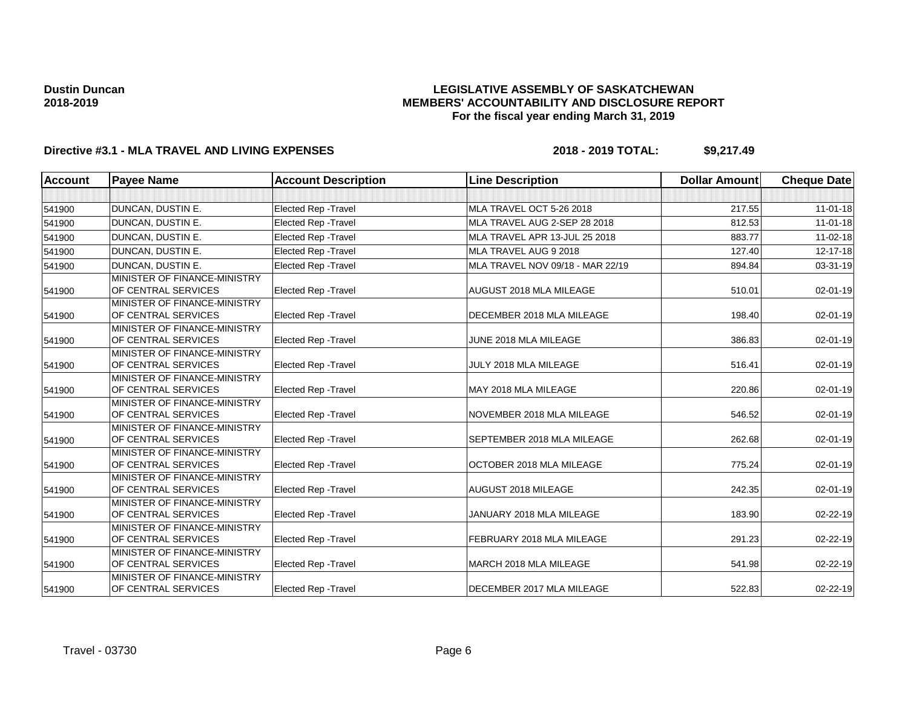## **LEGISLATIVE ASSEMBLY OF SASKATCHEWAN MEMBERS' ACCOUNTABILITY AND DISCLOSURE REPORT For the fiscal year ending March 31, 2019**

| <b>Account</b> | <b>Payee Name</b>                                   | <b>Account Description</b>  | <b>Line Description</b>          | <b>Dollar Amount</b> | <b>Cheque Date</b> |
|----------------|-----------------------------------------------------|-----------------------------|----------------------------------|----------------------|--------------------|
|                |                                                     |                             |                                  |                      |                    |
| 541900         | DUNCAN, DUSTIN E.                                   | Elected Rep - Travel        | MLA TRAVEL OCT 5-26 2018         | 217.55               | $11-01-18$         |
| 541900         | DUNCAN, DUSTIN E.                                   | <b>Elected Rep - Travel</b> | MLA TRAVEL AUG 2-SEP 28 2018     | 812.53               | $11-01-18$         |
| 541900         | DUNCAN, DUSTIN E.                                   | <b>Elected Rep - Travel</b> | MLA TRAVEL APR 13-JUL 25 2018    | 883.77               | $11-02-18$         |
| 541900         | <b>DUNCAN, DUSTIN E.</b>                            | <b>Elected Rep - Travel</b> | MLA TRAVEL AUG 9 2018            | 127.40               | 12-17-18           |
| 541900         | <b>DUNCAN, DUSTIN E.</b>                            | <b>Elected Rep - Travel</b> | MLA TRAVEL NOV 09/18 - MAR 22/19 | 894.84               | $03 - 31 - 19$     |
|                | MINISTER OF FINANCE-MINISTRY                        |                             |                                  |                      |                    |
| 541900         | OF CENTRAL SERVICES                                 | Elected Rep - Travel        | AUGUST 2018 MLA MILEAGE          | 510.01               | 02-01-19           |
|                | MINISTER OF FINANCE-MINISTRY                        |                             |                                  |                      |                    |
| 541900         | OF CENTRAL SERVICES                                 | Elected Rep - Travel        | DECEMBER 2018 MLA MILEAGE        | 198.40               | 02-01-19           |
|                | MINISTER OF FINANCE-MINISTRY                        |                             |                                  |                      |                    |
| 541900         | OF CENTRAL SERVICES                                 | <b>Elected Rep - Travel</b> | JUNE 2018 MLA MILEAGE            | 386.83               | $02 - 01 - 19$     |
|                | MINISTER OF FINANCE-MINISTRY                        |                             |                                  |                      |                    |
| 541900         | OF CENTRAL SERVICES                                 | <b>Elected Rep - Travel</b> | JULY 2018 MLA MILEAGE            | 516.41               | 02-01-19           |
|                | MINISTER OF FINANCE-MINISTRY                        |                             |                                  |                      |                    |
| 541900         | OF CENTRAL SERVICES                                 | <b>Elected Rep - Travel</b> | MAY 2018 MLA MILEAGE             | 220.86               | 02-01-19           |
|                | MINISTER OF FINANCE-MINISTRY                        |                             |                                  |                      |                    |
| 541900         | OF CENTRAL SERVICES                                 | <b>Elected Rep - Travel</b> | NOVEMBER 2018 MLA MILEAGE        | 546.52               | $02 - 01 - 19$     |
|                | MINISTER OF FINANCE-MINISTRY                        |                             |                                  |                      |                    |
| 541900         | OF CENTRAL SERVICES                                 | <b>Elected Rep - Travel</b> | SEPTEMBER 2018 MLA MILEAGE       | 262.68               | 02-01-19           |
|                | MINISTER OF FINANCE-MINISTRY<br>OF CENTRAL SERVICES |                             | OCTOBER 2018 MLA MILEAGE         | 775.24               | $02 - 01 - 19$     |
| 541900         |                                                     | Elected Rep - Travel        |                                  |                      |                    |
| 541900         | MINISTER OF FINANCE-MINISTRY<br>OF CENTRAL SERVICES | Elected Rep - Travel        | AUGUST 2018 MILEAGE              | 242.35               | 02-01-19           |
|                | MINISTER OF FINANCE-MINISTRY                        |                             |                                  |                      |                    |
| 541900         | OF CENTRAL SERVICES                                 | <b>Elected Rep - Travel</b> | JANUARY 2018 MLA MILEAGE         | 183.90               | 02-22-19           |
|                | MINISTER OF FINANCE-MINISTRY                        |                             |                                  |                      |                    |
| 541900         | OF CENTRAL SERVICES                                 | <b>Elected Rep - Travel</b> | FEBRUARY 2018 MLA MILEAGE        | 291.23               | 02-22-19           |
|                | MINISTER OF FINANCE-MINISTRY                        |                             |                                  |                      |                    |
| 541900         | OF CENTRAL SERVICES                                 | <b>Elected Rep - Travel</b> | MARCH 2018 MLA MILEAGE           | 541.98               | 02-22-19           |
|                | MINISTER OF FINANCE-MINISTRY                        |                             |                                  |                      |                    |
| 541900         | OF CENTRAL SERVICES                                 | Elected Rep - Travel        | DECEMBER 2017 MLA MILEAGE        | 522.83               | 02-22-19           |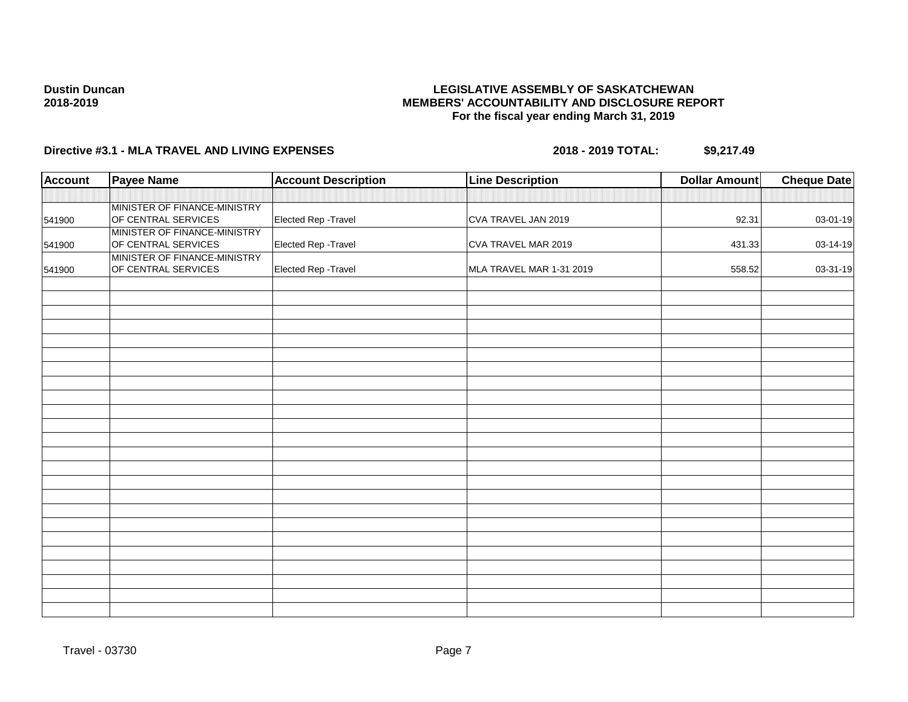## **LEGISLATIVE ASSEMBLY OF SASKATCHEWAN MEMBERS' ACCOUNTABILITY AND DISCLOSURE REPORT For the fiscal year ending March 31, 2019**

| <b>Account</b> | <b>Payee Name</b>                                   | <b>Account Description</b> | <b>Line Description</b>  | <b>Dollar Amount</b> | <b>Cheque Date</b> |
|----------------|-----------------------------------------------------|----------------------------|--------------------------|----------------------|--------------------|
|                |                                                     |                            |                          |                      |                    |
| 541900         | MINISTER OF FINANCE-MINISTRY<br>OF CENTRAL SERVICES | Elected Rep - Travel       | CVA TRAVEL JAN 2019      | 92.31                | 03-01-19           |
| 541900         | MINISTER OF FINANCE-MINISTRY<br>OF CENTRAL SERVICES | Elected Rep - Travel       | CVA TRAVEL MAR 2019      | 431.33               | 03-14-19           |
| 541900         | MINISTER OF FINANCE-MINISTRY<br>OF CENTRAL SERVICES | Elected Rep - Travel       | MLA TRAVEL MAR 1-31 2019 | 558.52               | 03-31-19           |
|                |                                                     |                            |                          |                      |                    |
|                |                                                     |                            |                          |                      |                    |
|                |                                                     |                            |                          |                      |                    |
|                |                                                     |                            |                          |                      |                    |
|                |                                                     |                            |                          |                      |                    |
|                |                                                     |                            |                          |                      |                    |
|                |                                                     |                            |                          |                      |                    |
|                |                                                     |                            |                          |                      |                    |
|                |                                                     |                            |                          |                      |                    |
|                |                                                     |                            |                          |                      |                    |
|                |                                                     |                            |                          |                      |                    |
|                |                                                     |                            |                          |                      |                    |
|                |                                                     |                            |                          |                      |                    |
|                |                                                     |                            |                          |                      |                    |
|                |                                                     |                            |                          |                      |                    |
|                |                                                     |                            |                          |                      |                    |
|                |                                                     |                            |                          |                      |                    |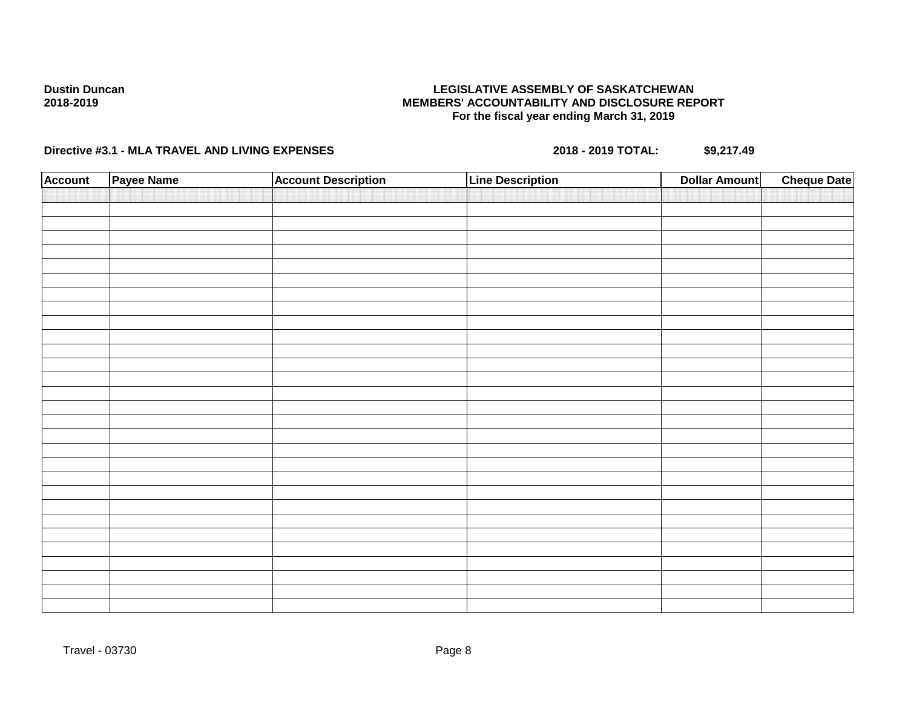## **LEGISLATIVE ASSEMBLY OF SASKATCHEWAN MEMBERS' ACCOUNTABILITY AND DISCLOSURE REPORT For the fiscal year ending March 31, 2019**

| <b>Account</b> | Payee Name | <b>Account Description</b> | <b>Line Description</b> | <b>Dollar Amount</b> | <b>Cheque Date</b> |
|----------------|------------|----------------------------|-------------------------|----------------------|--------------------|
|                |            |                            |                         |                      |                    |
|                |            |                            |                         |                      |                    |
|                |            |                            |                         |                      |                    |
|                |            |                            |                         |                      |                    |
|                |            |                            |                         |                      |                    |
|                |            |                            |                         |                      |                    |
|                |            |                            |                         |                      |                    |
|                |            |                            |                         |                      |                    |
|                |            |                            |                         |                      |                    |
|                |            |                            |                         |                      |                    |
|                |            |                            |                         |                      |                    |
|                |            |                            |                         |                      |                    |
|                |            |                            |                         |                      |                    |
|                |            |                            |                         |                      |                    |
|                |            |                            |                         |                      |                    |
|                |            |                            |                         |                      |                    |
|                |            |                            |                         |                      |                    |
|                |            |                            |                         |                      |                    |
|                |            |                            |                         |                      |                    |
|                |            |                            |                         |                      |                    |
|                |            |                            |                         |                      |                    |
|                |            |                            |                         |                      |                    |
|                |            |                            |                         |                      |                    |
|                |            |                            |                         |                      |                    |
|                |            |                            |                         |                      |                    |
|                |            |                            |                         |                      |                    |
|                |            |                            |                         |                      |                    |
|                |            |                            |                         |                      |                    |
|                |            |                            |                         |                      |                    |
|                |            |                            |                         |                      |                    |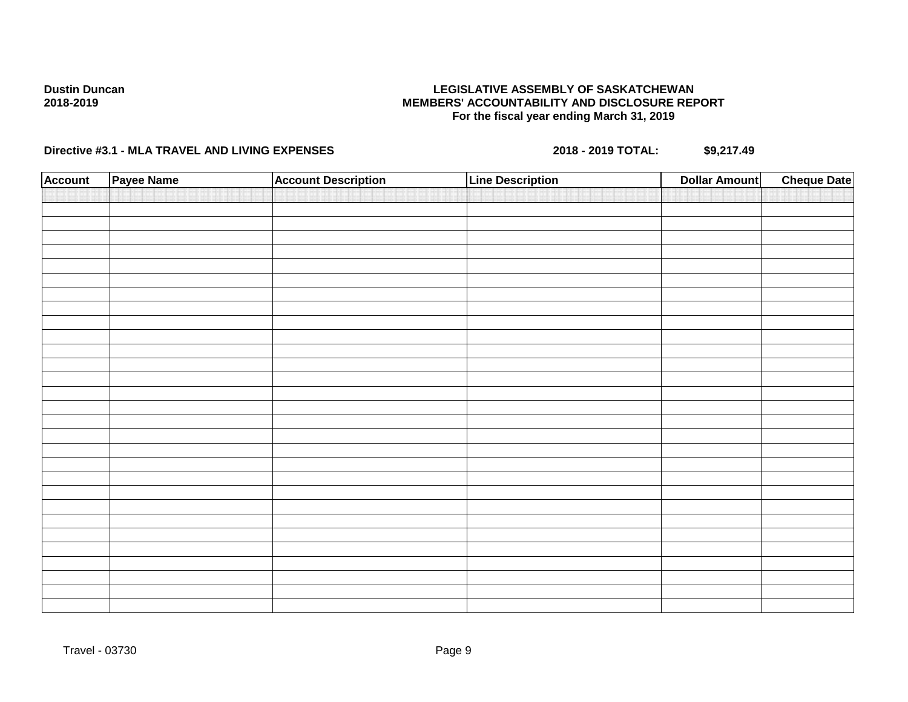## **LEGISLATIVE ASSEMBLY OF SASKATCHEWAN MEMBERS' ACCOUNTABILITY AND DISCLOSURE REPORT For the fiscal year ending March 31, 2019**

| <b>Account</b> | Payee Name | <b>Account Description</b> | <b>Line Description</b> | <b>Dollar Amount</b> | <b>Cheque Date</b> |
|----------------|------------|----------------------------|-------------------------|----------------------|--------------------|
|                |            |                            |                         |                      |                    |
|                |            |                            |                         |                      |                    |
|                |            |                            |                         |                      |                    |
|                |            |                            |                         |                      |                    |
|                |            |                            |                         |                      |                    |
|                |            |                            |                         |                      |                    |
|                |            |                            |                         |                      |                    |
|                |            |                            |                         |                      |                    |
|                |            |                            |                         |                      |                    |
|                |            |                            |                         |                      |                    |
|                |            |                            |                         |                      |                    |
|                |            |                            |                         |                      |                    |
|                |            |                            |                         |                      |                    |
|                |            |                            |                         |                      |                    |
|                |            |                            |                         |                      |                    |
|                |            |                            |                         |                      |                    |
|                |            |                            |                         |                      |                    |
|                |            |                            |                         |                      |                    |
|                |            |                            |                         |                      |                    |
|                |            |                            |                         |                      |                    |
|                |            |                            |                         |                      |                    |
|                |            |                            |                         |                      |                    |
|                |            |                            |                         |                      |                    |
|                |            |                            |                         |                      |                    |
|                |            |                            |                         |                      |                    |
|                |            |                            |                         |                      |                    |
|                |            |                            |                         |                      |                    |
|                |            |                            |                         |                      |                    |
|                |            |                            |                         |                      |                    |
|                |            |                            |                         |                      |                    |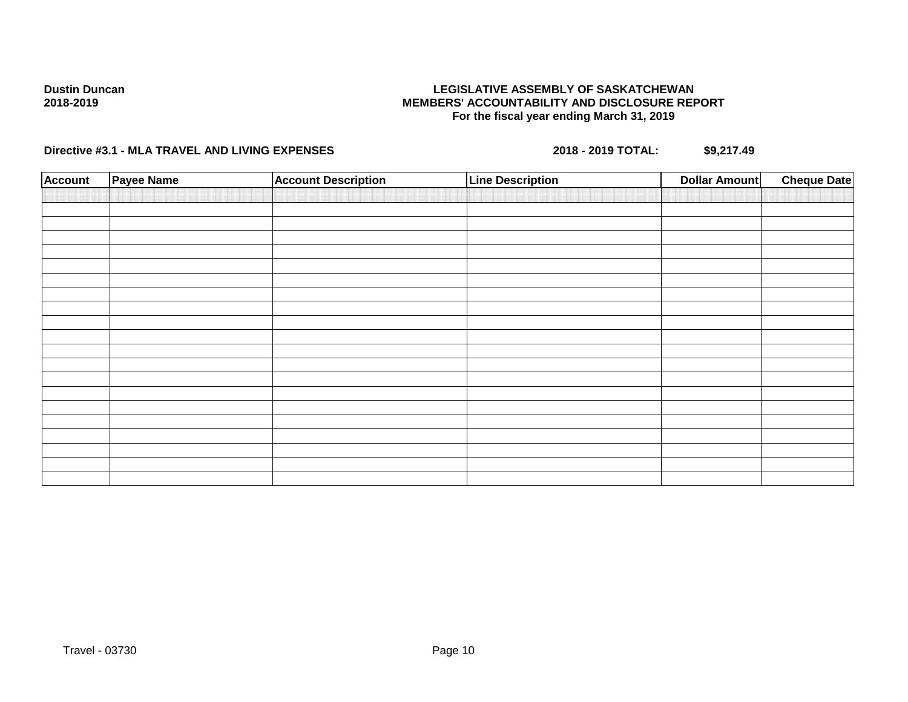## **LEGISLATIVE ASSEMBLY OF SASKATCHEWAN MEMBERS' ACCOUNTABILITY AND DISCLOSURE REPORT For the fiscal year ending March 31, 2019**

| <b>Account</b> | Payee Name | <b>Account Description</b> | <b>Line Description</b> | <b>Dollar Amount</b> | <b>Cheque Date</b> |
|----------------|------------|----------------------------|-------------------------|----------------------|--------------------|
|                |            |                            |                         |                      |                    |
|                |            |                            |                         |                      |                    |
|                |            |                            |                         |                      |                    |
|                |            |                            |                         |                      |                    |
|                |            |                            |                         |                      |                    |
|                |            |                            |                         |                      |                    |
|                |            |                            |                         |                      |                    |
|                |            |                            |                         |                      |                    |
|                |            |                            |                         |                      |                    |
|                |            |                            |                         |                      |                    |
|                |            |                            |                         |                      |                    |
|                |            |                            |                         |                      |                    |
|                |            |                            |                         |                      |                    |
|                |            |                            |                         |                      |                    |
|                |            |                            |                         |                      |                    |
|                |            |                            |                         |                      |                    |
|                |            |                            |                         |                      |                    |
|                |            |                            |                         |                      |                    |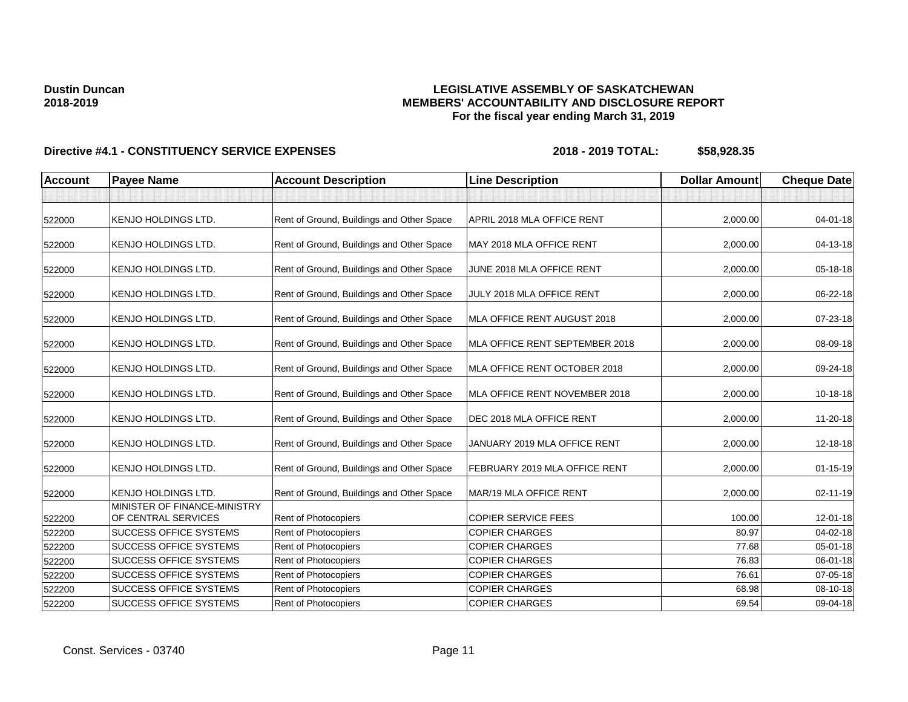## **LEGISLATIVE ASSEMBLY OF SASKATCHEWAN MEMBERS' ACCOUNTABILITY AND DISCLOSURE REPORT For the fiscal year ending March 31, 2019**

| Account | <b>Payee Name</b>                                   | <b>Account Description</b>                | <b>Line Description</b>        | <b>Dollar Amount</b> | <b>Cheque Date</b> |
|---------|-----------------------------------------------------|-------------------------------------------|--------------------------------|----------------------|--------------------|
|         |                                                     |                                           |                                |                      |                    |
| 522000  | <b>KENJO HOLDINGS LTD.</b>                          | Rent of Ground, Buildings and Other Space | APRIL 2018 MLA OFFICE RENT     | 2,000.00             | $04 - 01 - 18$     |
| 522000  | <b>KENJO HOLDINGS LTD.</b>                          | Rent of Ground, Buildings and Other Space | MAY 2018 MLA OFFICE RENT       | 2,000.00             | 04-13-18           |
| 522000  | <b>KENJO HOLDINGS LTD.</b>                          | Rent of Ground, Buildings and Other Space | JUNE 2018 MLA OFFICE RENT      | 2,000.00             | 05-18-18           |
| 522000  | <b>KENJO HOLDINGS LTD.</b>                          | Rent of Ground, Buildings and Other Space | JULY 2018 MLA OFFICE RENT      | 2,000.00             | 06-22-18           |
| 522000  | <b>KENJO HOLDINGS LTD.</b>                          | Rent of Ground, Buildings and Other Space | MLA OFFICE RENT AUGUST 2018    | 2,000.00             | 07-23-18           |
| 522000  | <b>KENJO HOLDINGS LTD.</b>                          | Rent of Ground, Buildings and Other Space | MLA OFFICE RENT SEPTEMBER 2018 | 2,000.00             | 08-09-18           |
| 522000  | <b>KENJO HOLDINGS LTD.</b>                          | Rent of Ground, Buildings and Other Space | MLA OFFICE RENT OCTOBER 2018   | 2,000.00             | 09-24-18           |
| 522000  | <b>KENJO HOLDINGS LTD.</b>                          | Rent of Ground, Buildings and Other Space | MLA OFFICE RENT NOVEMBER 2018  | 2,000.00             | 10-18-18           |
| 522000  | <b>KENJO HOLDINGS LTD.</b>                          | Rent of Ground, Buildings and Other Space | DEC 2018 MLA OFFICE RENT       | 2,000.00             | 11-20-18           |
| 522000  | <b>KENJO HOLDINGS LTD.</b>                          | Rent of Ground, Buildings and Other Space | JANUARY 2019 MLA OFFICE RENT   | 2,000.00             | 12-18-18           |
| 522000  | <b>KENJO HOLDINGS LTD.</b>                          | Rent of Ground, Buildings and Other Space | FEBRUARY 2019 MLA OFFICE RENT  | 2,000.00             | $01 - 15 - 19$     |
| 522000  | <b>KENJO HOLDINGS LTD.</b>                          | Rent of Ground, Buildings and Other Space | MAR/19 MLA OFFICE RENT         | 2,000.00             | 02-11-19           |
| 522200  | MINISTER OF FINANCE-MINISTRY<br>OF CENTRAL SERVICES | Rent of Photocopiers                      | <b>COPIER SERVICE FEES</b>     | 100.00               | $12 - 01 - 18$     |
| 522200  | <b>SUCCESS OFFICE SYSTEMS</b>                       | Rent of Photocopiers                      | <b>COPIER CHARGES</b>          | 80.97                | 04-02-18           |
| 522200  | <b>SUCCESS OFFICE SYSTEMS</b>                       | Rent of Photocopiers                      | <b>COPIER CHARGES</b>          | 77.68                | $05 - 01 - 18$     |
| 522200  | <b>SUCCESS OFFICE SYSTEMS</b>                       | Rent of Photocopiers                      | <b>COPIER CHARGES</b>          | 76.83                | 06-01-18           |
| 522200  | <b>SUCCESS OFFICE SYSTEMS</b>                       | Rent of Photocopiers                      | <b>COPIER CHARGES</b>          | 76.61                | $07 - 05 - 18$     |
| 522200  | <b>SUCCESS OFFICE SYSTEMS</b>                       | Rent of Photocopiers                      | <b>COPIER CHARGES</b>          | 68.98                | 08-10-18           |
| 522200  | <b>SUCCESS OFFICE SYSTEMS</b>                       | Rent of Photocopiers                      | <b>COPIER CHARGES</b>          | 69.54                | 09-04-18           |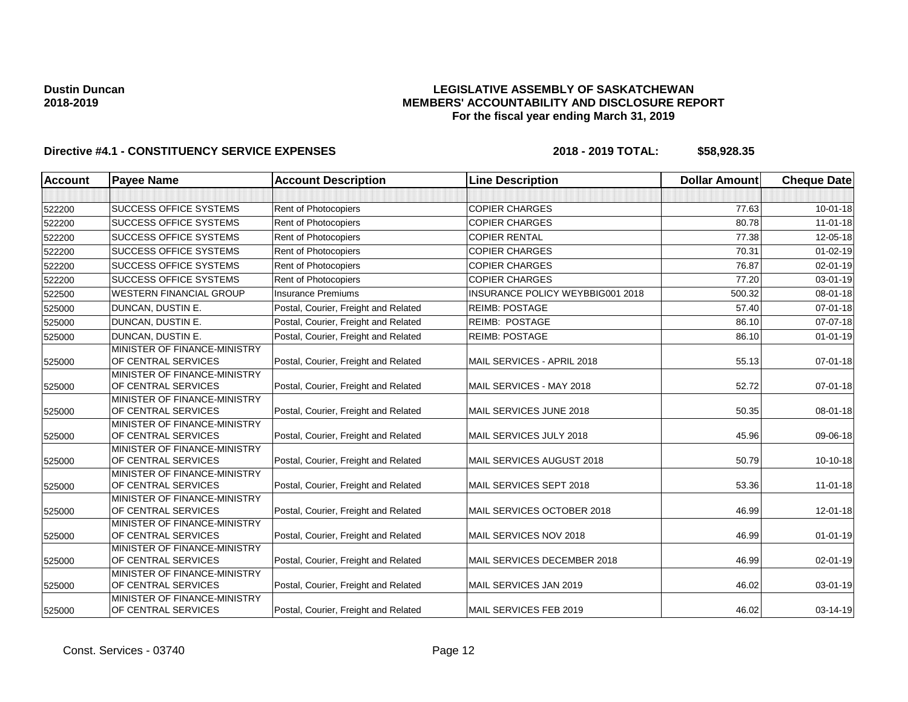## **LEGISLATIVE ASSEMBLY OF SASKATCHEWAN MEMBERS' ACCOUNTABILITY AND DISCLOSURE REPORT For the fiscal year ending March 31, 2019**

| <b>Account</b> | <b>Payee Name</b>                                   | <b>Account Description</b>           | <b>Line Description</b>          | <b>Dollar Amount</b> | <b>Cheque Date</b> |
|----------------|-----------------------------------------------------|--------------------------------------|----------------------------------|----------------------|--------------------|
|                |                                                     |                                      |                                  |                      |                    |
| 522200         | <b>SUCCESS OFFICE SYSTEMS</b>                       | <b>Rent of Photocopiers</b>          | <b>COPIER CHARGES</b>            | 77.63                | $10 - 01 - 18$     |
| 522200         | <b>SUCCESS OFFICE SYSTEMS</b>                       | Rent of Photocopiers                 | <b>COPIER CHARGES</b>            | 80.78                | $11 - 01 - 18$     |
| 522200         | <b>SUCCESS OFFICE SYSTEMS</b>                       | <b>Rent of Photocopiers</b>          | <b>COPIER RENTAL</b>             | 77.38                | 12-05-18           |
| 522200         | <b>SUCCESS OFFICE SYSTEMS</b>                       | <b>Rent of Photocopiers</b>          | <b>COPIER CHARGES</b>            | 70.31                | $01 - 02 - 19$     |
| 522200         | <b>SUCCESS OFFICE SYSTEMS</b>                       | Rent of Photocopiers                 | <b>COPIER CHARGES</b>            | 76.87                | $02 - 01 - 19$     |
| 522200         | <b>SUCCESS OFFICE SYSTEMS</b>                       | Rent of Photocopiers                 | <b>COPIER CHARGES</b>            | 77.20                | 03-01-19           |
| 522500         | WESTERN FINANCIAL GROUP                             | <b>Insurance Premiums</b>            | INSURANCE POLICY WEYBBIG001 2018 | 500.32               | 08-01-18           |
| 525000         | DUNCAN, DUSTIN E.                                   | Postal, Courier, Freight and Related | <b>REIMB: POSTAGE</b>            | 57.40                | $07 - 01 - 18$     |
| 525000         | DUNCAN, DUSTIN E.                                   | Postal, Courier, Freight and Related | <b>REIMB: POSTAGE</b>            | 86.10                | 07-07-18           |
| 525000         | DUNCAN, DUSTIN E.                                   | Postal, Courier, Freight and Related | <b>REIMB: POSTAGE</b>            | 86.10                | $01 - 01 - 19$     |
| 525000         | MINISTER OF FINANCE-MINISTRY<br>OF CENTRAL SERVICES | Postal, Courier, Freight and Related | MAIL SERVICES - APRIL 2018       | 55.13                | $07 - 01 - 18$     |
| 525000         | MINISTER OF FINANCE-MINISTRY<br>OF CENTRAL SERVICES | Postal, Courier, Freight and Related | MAIL SERVICES - MAY 2018         | 52.72                | 07-01-18           |
| 525000         | MINISTER OF FINANCE-MINISTRY<br>OF CENTRAL SERVICES | Postal, Courier, Freight and Related | MAIL SERVICES JUNE 2018          | 50.35                | 08-01-18           |
| 525000         | MINISTER OF FINANCE-MINISTRY<br>OF CENTRAL SERVICES | Postal, Courier, Freight and Related | MAIL SERVICES JULY 2018          | 45.96                | 09-06-18           |
| 525000         | MINISTER OF FINANCE-MINISTRY<br>OF CENTRAL SERVICES | Postal, Courier, Freight and Related | MAIL SERVICES AUGUST 2018        | 50.79                | 10-10-18           |
| 525000         | MINISTER OF FINANCE-MINISTRY<br>OF CENTRAL SERVICES | Postal, Courier, Freight and Related | MAIL SERVICES SEPT 2018          | 53.36                | $11 - 01 - 18$     |
| 525000         | MINISTER OF FINANCE-MINISTRY<br>OF CENTRAL SERVICES | Postal, Courier, Freight and Related | MAIL SERVICES OCTOBER 2018       | 46.99                | 12-01-18           |
| 525000         | MINISTER OF FINANCE-MINISTRY<br>OF CENTRAL SERVICES | Postal, Courier, Freight and Related | MAIL SERVICES NOV 2018           | 46.99                | $01 - 01 - 19$     |
| 525000         | MINISTER OF FINANCE-MINISTRY<br>OF CENTRAL SERVICES | Postal, Courier, Freight and Related | MAIL SERVICES DECEMBER 2018      | 46.99                | 02-01-19           |
| 525000         | MINISTER OF FINANCE-MINISTRY<br>OF CENTRAL SERVICES | Postal, Courier, Freight and Related | MAIL SERVICES JAN 2019           | 46.02                | 03-01-19           |
| 525000         | MINISTER OF FINANCE-MINISTRY<br>OF CENTRAL SERVICES | Postal, Courier, Freight and Related | MAIL SERVICES FEB 2019           | 46.02                | $03 - 14 - 19$     |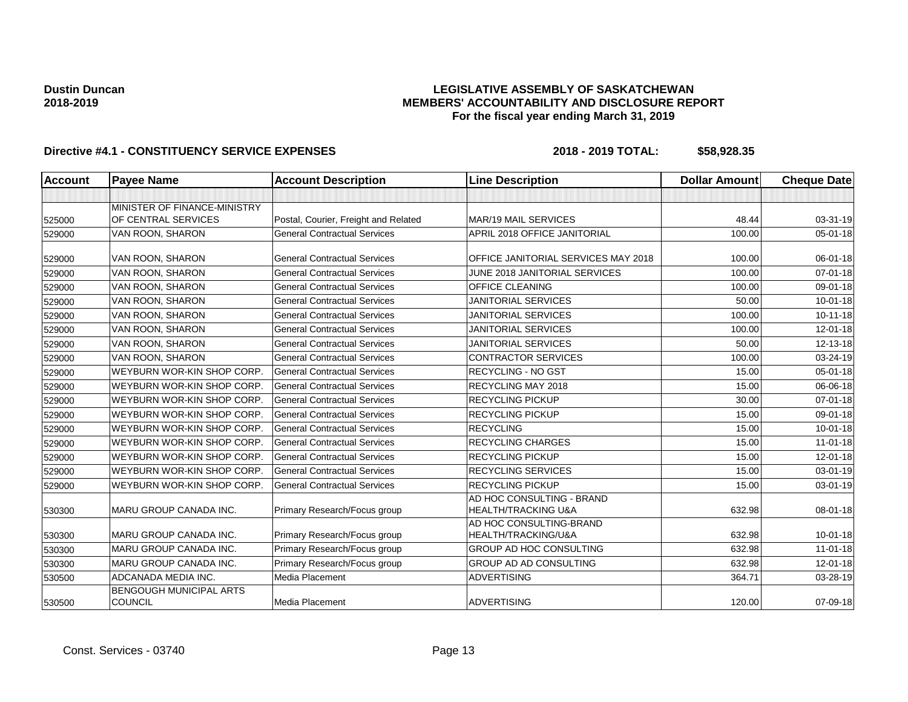## **LEGISLATIVE ASSEMBLY OF SASKATCHEWAN MEMBERS' ACCOUNTABILITY AND DISCLOSURE REPORT For the fiscal year ending March 31, 2019**

| <b>Account</b> | <b>Payee Name</b>                                | <b>Account Description</b>           | <b>Line Description</b>                                     | <b>Dollar Amount</b> | <b>Cheque Date</b> |
|----------------|--------------------------------------------------|--------------------------------------|-------------------------------------------------------------|----------------------|--------------------|
|                |                                                  |                                      |                                                             |                      |                    |
|                | MINISTER OF FINANCE-MINISTRY                     |                                      |                                                             |                      |                    |
| 525000         | OF CENTRAL SERVICES                              | Postal, Courier, Freight and Related | MAR/19 MAIL SERVICES                                        | 48.44                | 03-31-19           |
| 529000         | VAN ROON, SHARON                                 | <b>General Contractual Services</b>  | APRIL 2018 OFFICE JANITORIAL                                | 100.00               | $05 - 01 - 18$     |
| 529000         | VAN ROON, SHARON                                 | <b>General Contractual Services</b>  | OFFICE JANITORIAL SERVICES MAY 2018                         | 100.00               | 06-01-18           |
| 529000         | VAN ROON, SHARON                                 | <b>General Contractual Services</b>  | JUNE 2018 JANITORIAL SERVICES                               | 100.00               | $07 - 01 - 18$     |
| 529000         | VAN ROON, SHARON                                 | <b>General Contractual Services</b>  | OFFICE CLEANING                                             | 100.00               | 09-01-18           |
| 529000         | VAN ROON, SHARON                                 | <b>General Contractual Services</b>  | <b>JANITORIAL SERVICES</b>                                  | 50.00                | $10 - 01 - 18$     |
| 529000         | VAN ROON, SHARON                                 | <b>General Contractual Services</b>  | <b>JANITORIAL SERVICES</b>                                  | 100.00               | $10 - 11 - 18$     |
| 529000         | VAN ROON, SHARON                                 | <b>General Contractual Services</b>  | <b>JANITORIAL SERVICES</b>                                  | 100.00               | $12 - 01 - 18$     |
| 529000         | VAN ROON, SHARON                                 | <b>General Contractual Services</b>  | <b>JANITORIAL SERVICES</b>                                  | 50.00                | 12-13-18           |
| 529000         | VAN ROON, SHARON                                 | <b>General Contractual Services</b>  | <b>CONTRACTOR SERVICES</b>                                  | 100.00               | 03-24-19           |
| 529000         | WEYBURN WOR-KIN SHOP CORP                        | <b>General Contractual Services</b>  | <b>RECYCLING - NO GST</b>                                   | 15.00                | $05 - 01 - 18$     |
| 529000         | WEYBURN WOR-KIN SHOP CORP                        | <b>General Contractual Services</b>  | RECYCLING MAY 2018                                          | 15.00                | 06-06-18           |
| 529000         | WEYBURN WOR-KIN SHOP CORP                        | <b>General Contractual Services</b>  | <b>RECYCLING PICKUP</b>                                     | 30.00                | $07 - 01 - 18$     |
| 529000         | WEYBURN WOR-KIN SHOP CORP                        | <b>General Contractual Services</b>  | <b>RECYCLING PICKUP</b>                                     | 15.00                | 09-01-18           |
| 529000         | WEYBURN WOR-KIN SHOP CORP                        | <b>General Contractual Services</b>  | <b>RECYCLING</b>                                            | 15.00                | $10 - 01 - 18$     |
| 529000         | WEYBURN WOR-KIN SHOP CORP                        | <b>General Contractual Services</b>  | <b>RECYCLING CHARGES</b>                                    | 15.00                | $11-01-18$         |
| 529000         | WEYBURN WOR-KIN SHOP CORP                        | <b>General Contractual Services</b>  | <b>RECYCLING PICKUP</b>                                     | 15.00                | $12 - 01 - 18$     |
| 529000         | WEYBURN WOR-KIN SHOP CORP                        | <b>General Contractual Services</b>  | <b>RECYCLING SERVICES</b>                                   | 15.00                | 03-01-19           |
| 529000         | WEYBURN WOR-KIN SHOP CORP                        | <b>General Contractual Services</b>  | <b>RECYCLING PICKUP</b>                                     | 15.00                | 03-01-19           |
| 530300         | MARU GROUP CANADA INC.                           | Primary Research/Focus group         | AD HOC CONSULTING - BRAND<br><b>HEALTH/TRACKING U&amp;A</b> | 632.98               | 08-01-18           |
| 530300         | MARU GROUP CANADA INC.                           | Primary Research/Focus group         | AD HOC CONSULTING-BRAND<br>HEALTH/TRACKING/U&A              | 632.98               | $10 - 01 - 18$     |
| 530300         | <b>MARU GROUP CANADA INC.</b>                    | Primary Research/Focus group         | <b>GROUP AD HOC CONSULTING</b>                              | 632.98               | $11 - 01 - 18$     |
| 530300         | <b>MARU GROUP CANADA INC.</b>                    | Primary Research/Focus group         | GROUP AD AD CONSULTING                                      | 632.98               | $12 - 01 - 18$     |
| 530500         | ADCANADA MEDIA INC.                              | Media Placement                      | <b>ADVERTISING</b>                                          | 364.71               | 03-28-19           |
| 530500         | <b>BENGOUGH MUNICIPAL ARTS</b><br><b>COUNCIL</b> | Media Placement                      | <b>ADVERTISING</b>                                          | 120.00               | 07-09-18           |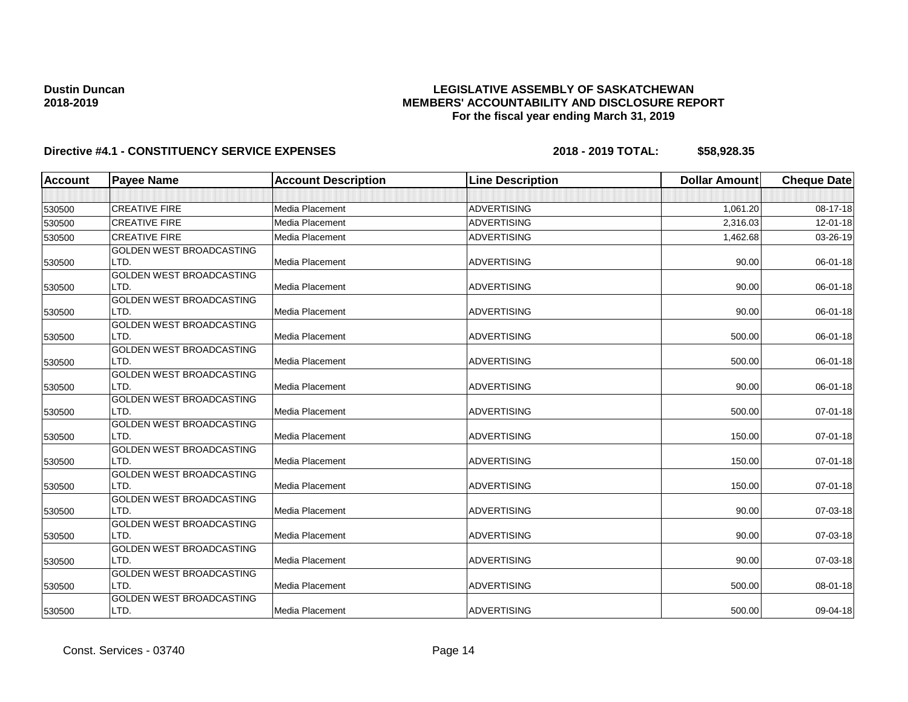## **LEGISLATIVE ASSEMBLY OF SASKATCHEWAN MEMBERS' ACCOUNTABILITY AND DISCLOSURE REPORT For the fiscal year ending March 31, 2019**

| <b>Account</b> | <b>Payee Name</b>               | <b>Account Description</b> | <b>Line Description</b> | <b>Dollar Amount</b> | <b>Cheque Date</b> |
|----------------|---------------------------------|----------------------------|-------------------------|----------------------|--------------------|
|                |                                 |                            |                         |                      |                    |
| 530500         | <b>CREATIVE FIRE</b>            | Media Placement            | <b>ADVERTISING</b>      | 1,061.20             | 08-17-18           |
| 530500         | <b>CREATIVE FIRE</b>            | Media Placement            | <b>ADVERTISING</b>      | 2,316.03             | 12-01-18           |
| 530500         | <b>CREATIVE FIRE</b>            | <b>Media Placement</b>     | <b>ADVERTISING</b>      | 1,462.68             | 03-26-19           |
|                | GOLDEN WEST BROADCASTING        |                            |                         |                      |                    |
| 530500         | LTD.                            | Media Placement            | <b>ADVERTISING</b>      | 90.00                | 06-01-18           |
|                | <b>GOLDEN WEST BROADCASTING</b> |                            |                         |                      |                    |
| 530500         | LTD.                            | Media Placement            | <b>ADVERTISING</b>      | 90.00                | 06-01-18           |
|                | <b>GOLDEN WEST BROADCASTING</b> |                            |                         |                      |                    |
| 530500         | LTD.                            | Media Placement            | <b>ADVERTISING</b>      | 90.00                | 06-01-18           |
|                | GOLDEN WEST BROADCASTING        |                            |                         |                      |                    |
| 530500         | LTD.                            | Media Placement            | <b>ADVERTISING</b>      | 500.00               | 06-01-18           |
|                | <b>GOLDEN WEST BROADCASTING</b> |                            |                         |                      |                    |
| 530500         | LTD.                            | <b>Media Placement</b>     | <b>ADVERTISING</b>      | 500.00               | 06-01-18           |
|                | GOLDEN WEST BROADCASTING        |                            |                         |                      |                    |
| 530500         | LTD.                            | <b>Media Placement</b>     | <b>ADVERTISING</b>      | 90.00                | 06-01-18           |
|                | GOLDEN WEST BROADCASTING        |                            |                         |                      |                    |
| 530500         | LTD.                            | Media Placement            | <b>ADVERTISING</b>      | 500.00               | 07-01-18           |
|                | GOLDEN WEST BROADCASTING        |                            |                         |                      |                    |
| 530500         | LTD.                            | Media Placement            | <b>ADVERTISING</b>      | 150.00               | $07 - 01 - 18$     |
|                | GOLDEN WEST BROADCASTING        |                            |                         |                      |                    |
| 530500         | LTD.                            | Media Placement            | <b>ADVERTISING</b>      | 150.00               | $07 - 01 - 18$     |
|                | GOLDEN WEST BROADCASTING        |                            |                         |                      |                    |
| 530500         | LTD.                            | Media Placement            | <b>ADVERTISING</b>      | 150.00               | 07-01-18           |
|                | <b>GOLDEN WEST BROADCASTING</b> |                            |                         |                      |                    |
| 530500         | LTD.                            | Media Placement            | <b>ADVERTISING</b>      | 90.00                | 07-03-18           |
|                | GOLDEN WEST BROADCASTING        |                            |                         |                      |                    |
| 530500         | LTD.                            | Media Placement            | <b>ADVERTISING</b>      | 90.00                | 07-03-18           |
|                | GOLDEN WEST BROADCASTING        |                            |                         |                      |                    |
| 530500         | LTD.                            | <b>Media Placement</b>     | <b>ADVERTISING</b>      | 90.00                | 07-03-18           |
|                | <b>GOLDEN WEST BROADCASTING</b> |                            |                         |                      |                    |
| 530500         | LTD.                            | Media Placement            | <b>ADVERTISING</b>      | 500.00               | 08-01-18           |
|                | GOLDEN WEST BROADCASTING        |                            |                         |                      |                    |
| 530500         | LTD.                            | Media Placement            | <b>ADVERTISING</b>      | 500.00               | 09-04-18           |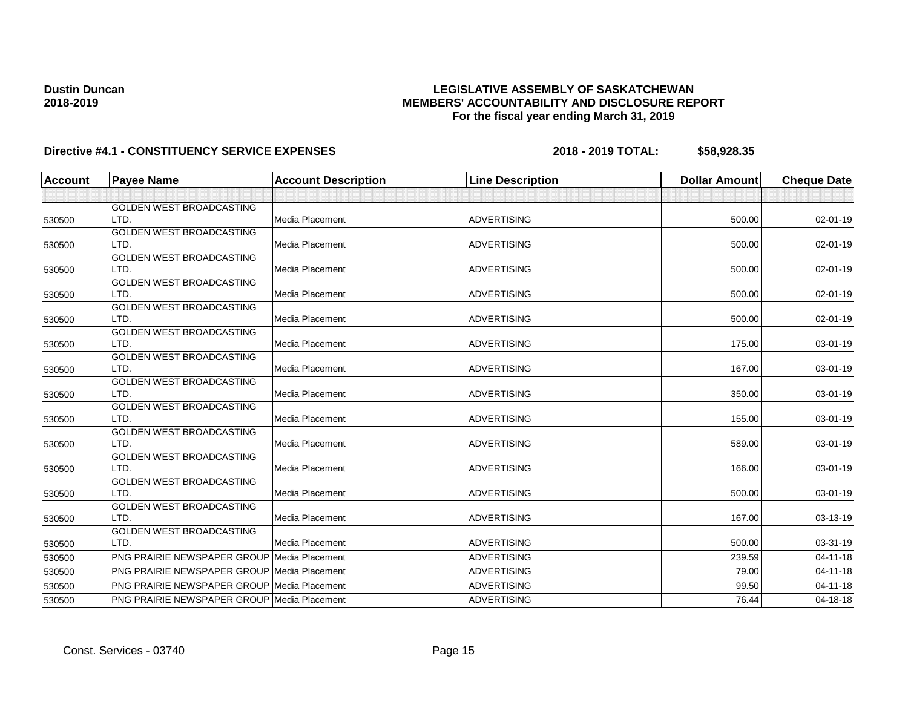## **LEGISLATIVE ASSEMBLY OF SASKATCHEWAN MEMBERS' ACCOUNTABILITY AND DISCLOSURE REPORT For the fiscal year ending March 31, 2019**

| <b>Account</b> | <b>Payee Name</b>                                  | <b>Account Description</b> | <b>Line Description</b> | <b>Dollar Amount</b> | <b>Cheque Date</b> |
|----------------|----------------------------------------------------|----------------------------|-------------------------|----------------------|--------------------|
|                |                                                    |                            |                         |                      |                    |
|                | <b>GOLDEN WEST BROADCASTING</b>                    |                            |                         |                      |                    |
| 530500         | LTD.                                               | <b>Media Placement</b>     | <b>ADVERTISING</b>      | 500.00               | 02-01-19           |
|                | GOLDEN WEST BROADCASTING                           |                            |                         |                      |                    |
| 530500         | LTD.                                               | Media Placement            | <b>ADVERTISING</b>      | 500.00               | 02-01-19           |
|                | <b>GOLDEN WEST BROADCASTING</b>                    |                            |                         |                      |                    |
| 530500         | LTD.                                               | Media Placement            | <b>ADVERTISING</b>      | 500.00               | 02-01-19           |
|                | <b>GOLDEN WEST BROADCASTING</b>                    |                            |                         |                      |                    |
| 530500         | LTD.                                               | Media Placement            | <b>ADVERTISING</b>      | 500.00               | 02-01-19           |
|                | <b>GOLDEN WEST BROADCASTING</b>                    |                            |                         |                      |                    |
| 530500         | LTD.                                               | <b>Media Placement</b>     | <b>ADVERTISING</b>      | 500.00               | $02 - 01 - 19$     |
|                | <b>GOLDEN WEST BROADCASTING</b>                    |                            |                         |                      |                    |
| 530500         | LTD.                                               | Media Placement            | <b>ADVERTISING</b>      | 175.00               | 03-01-19           |
|                | <b>GOLDEN WEST BROADCASTING</b><br>LTD.            | Media Placement            | <b>ADVERTISING</b>      | 167.00               |                    |
| 530500         | <b>GOLDEN WEST BROADCASTING</b>                    |                            |                         |                      | 03-01-19           |
| 530500         | LTD.                                               | Media Placement            | <b>ADVERTISING</b>      | 350.00               | 03-01-19           |
|                | GOLDEN WEST BROADCASTING                           |                            |                         |                      |                    |
| 530500         | LTD.                                               | <b>Media Placement</b>     | <b>ADVERTISING</b>      | 155.00               | 03-01-19           |
|                | GOLDEN WEST BROADCASTING                           |                            |                         |                      |                    |
| 530500         | LTD.                                               | <b>Media Placement</b>     | <b>ADVERTISING</b>      | 589.00               | 03-01-19           |
|                | GOLDEN WEST BROADCASTING                           |                            |                         |                      |                    |
| 530500         | LTD.                                               | <b>Media Placement</b>     | <b>ADVERTISING</b>      | 166.00               | 03-01-19           |
|                | <b>GOLDEN WEST BROADCASTING</b>                    |                            |                         |                      |                    |
| 530500         | LTD.                                               | Media Placement            | <b>ADVERTISING</b>      | 500.00               | 03-01-19           |
|                | <b>GOLDEN WEST BROADCASTING</b>                    |                            |                         |                      |                    |
| 530500         | LTD.                                               | Media Placement            | <b>ADVERTISING</b>      | 167.00               | 03-13-19           |
|                | GOLDEN WEST BROADCASTING                           |                            |                         |                      |                    |
| 530500         | LTD.                                               | <b>Media Placement</b>     | <b>ADVERTISING</b>      | 500.00               | $03-31-19$         |
| 530500         | PNG PRAIRIE NEWSPAPER GROUP Media Placement        |                            | <b>ADVERTISING</b>      | 239.59               | $04 - 11 - 18$     |
| 530500         | <b>PNG PRAIRIE NEWSPAPER GROUP Media Placement</b> |                            | <b>ADVERTISING</b>      | 79.00                | $04 - 11 - 18$     |
| 530500         | PNG PRAIRIE NEWSPAPER GROUP Media Placement        |                            | <b>ADVERTISING</b>      | 99.50                | $04 - 11 - 18$     |
| 530500         | PNG PRAIRIE NEWSPAPER GROUP Media Placement        |                            | <b>ADVERTISING</b>      | 76.44                | $04 - 18 - 18$     |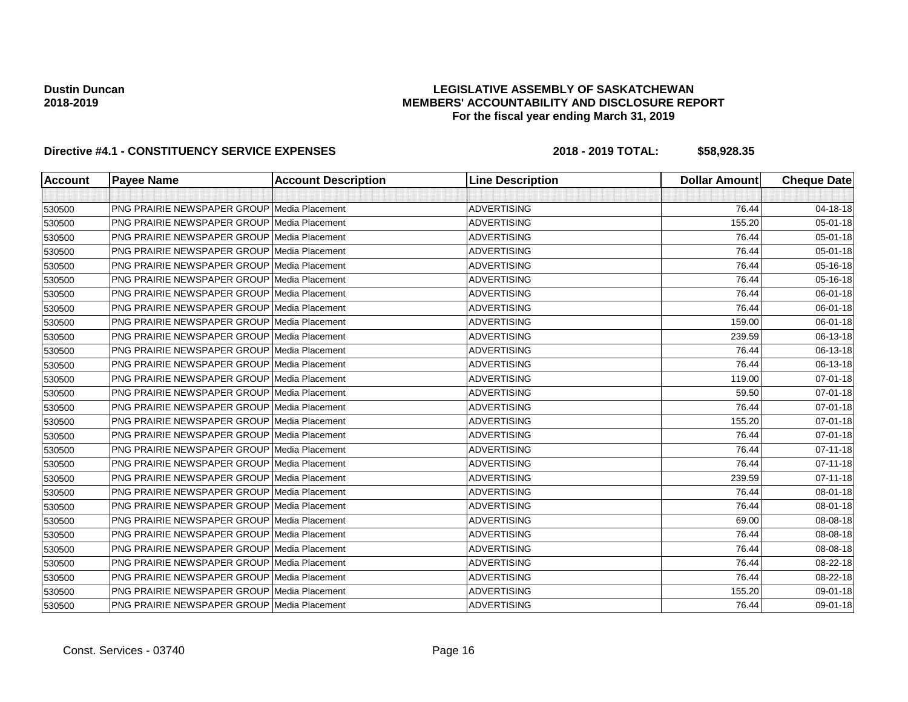## **LEGISLATIVE ASSEMBLY OF SASKATCHEWAN MEMBERS' ACCOUNTABILITY AND DISCLOSURE REPORT For the fiscal year ending March 31, 2019**

| Account | <b>Payee Name</b>                                  | <b>Account Description</b> | <b>Line Description</b> | <b>Dollar Amount</b> | <b>Cheque Date</b> |
|---------|----------------------------------------------------|----------------------------|-------------------------|----------------------|--------------------|
|         |                                                    |                            |                         |                      |                    |
| 530500  | PNG PRAIRIE NEWSPAPER GROUP Media Placement        |                            | <b>ADVERTISING</b>      | 76.44                | 04-18-18           |
| 530500  | <b>PNG PRAIRIE NEWSPAPER GROUP Media Placement</b> |                            | <b>ADVERTISING</b>      | 155.20               | 05-01-18           |
| 530500  | <b>PNG PRAIRIE NEWSPAPER GROUP Media Placement</b> |                            | <b>ADVERTISING</b>      | 76.44                | 05-01-18           |
| 530500  | PNG PRAIRIE NEWSPAPER GROUP Media Placement        |                            | <b>ADVERTISING</b>      | 76.44                | 05-01-18           |
| 530500  | <b>PNG PRAIRIE NEWSPAPER GROUP Media Placement</b> |                            | <b>ADVERTISING</b>      | 76.44                | 05-16-18           |
| 530500  | <b>PNG PRAIRIE NEWSPAPER GROUP Media Placement</b> |                            | <b>ADVERTISING</b>      | 76.44                | 05-16-18           |
| 530500  | <b>PNG PRAIRIE NEWSPAPER GROUP Media Placement</b> |                            | <b>ADVERTISING</b>      | 76.44                | 06-01-18           |
| 530500  | <b>PNG PRAIRIE NEWSPAPER GROUP Media Placement</b> |                            | <b>ADVERTISING</b>      | 76.44                | 06-01-18           |
| 530500  | <b>PNG PRAIRIE NEWSPAPER GROUP Media Placement</b> |                            | <b>ADVERTISING</b>      | 159.00               | 06-01-18           |
| 530500  | <b>PNG PRAIRIE NEWSPAPER GROUP Media Placement</b> |                            | <b>ADVERTISING</b>      | 239.59               | 06-13-18           |
| 530500  | <b>PNG PRAIRIE NEWSPAPER GROUP Media Placement</b> |                            | <b>ADVERTISING</b>      | 76.44                | 06-13-18           |
| 530500  | <b>PNG PRAIRIE NEWSPAPER GROUP Media Placement</b> |                            | <b>ADVERTISING</b>      | 76.44                | 06-13-18           |
| 530500  | <b>PNG PRAIRIE NEWSPAPER GROUP Media Placement</b> |                            | <b>ADVERTISING</b>      | 119.00               | 07-01-18           |
| 530500  | <b>PNG PRAIRIE NEWSPAPER GROUP Media Placement</b> |                            | <b>ADVERTISING</b>      | 59.50                | 07-01-18           |
| 530500  | <b>PNG PRAIRIE NEWSPAPER GROUP Media Placement</b> |                            | <b>ADVERTISING</b>      | 76.44                | 07-01-18           |
| 530500  | <b>PNG PRAIRIE NEWSPAPER GROUP Media Placement</b> |                            | <b>ADVERTISING</b>      | 155.20               | 07-01-18           |
| 530500  | <b>PNG PRAIRIE NEWSPAPER GROUP Media Placement</b> |                            | <b>ADVERTISING</b>      | 76.44                | 07-01-18           |
| 530500  | <b>PNG PRAIRIE NEWSPAPER GROUP Media Placement</b> |                            | <b>ADVERTISING</b>      | 76.44                | $07 - 11 - 18$     |
| 530500  | <b>PNG PRAIRIE NEWSPAPER GROUP Media Placement</b> |                            | <b>ADVERTISING</b>      | 76.44                | $07 - 11 - 18$     |
| 530500  | <b>PNG PRAIRIE NEWSPAPER GROUP Media Placement</b> |                            | <b>ADVERTISING</b>      | 239.59               | $07 - 11 - 18$     |
| 530500  | <b>PNG PRAIRIE NEWSPAPER GROUP Media Placement</b> |                            | <b>ADVERTISING</b>      | 76.44                | 08-01-18           |
| 530500  | <b>PNG PRAIRIE NEWSPAPER GROUP Media Placement</b> |                            | <b>ADVERTISING</b>      | 76.44                | 08-01-18           |
| 530500  | <b>PNG PRAIRIE NEWSPAPER GROUP Media Placement</b> |                            | <b>ADVERTISING</b>      | 69.00                | 08-08-18           |
| 530500  | <b>PNG PRAIRIE NEWSPAPER GROUP Media Placement</b> |                            | <b>ADVERTISING</b>      | 76.44                | 08-08-18           |
| 530500  | <b>PNG PRAIRIE NEWSPAPER GROUP Media Placement</b> |                            | <b>ADVERTISING</b>      | 76.44                | 08-08-18           |
| 530500  | <b>PNG PRAIRIE NEWSPAPER GROUP Media Placement</b> |                            | <b>ADVERTISING</b>      | 76.44                | 08-22-18           |
| 530500  | <b>PNG PRAIRIE NEWSPAPER GROUP Media Placement</b> |                            | <b>ADVERTISING</b>      | 76.44                | 08-22-18           |
| 530500  | <b>PNG PRAIRIE NEWSPAPER GROUP Media Placement</b> |                            | <b>ADVERTISING</b>      | 155.20               | 09-01-18           |
| 530500  | PNG PRAIRIE NEWSPAPER GROUP Media Placement        |                            | <b>ADVERTISING</b>      | 76.44                | 09-01-18           |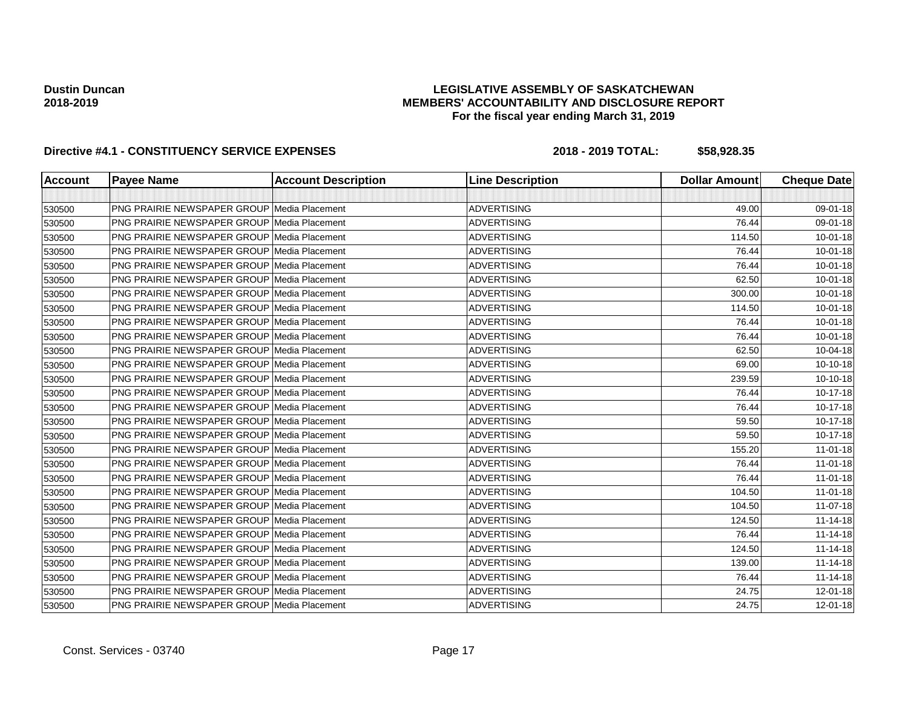## **LEGISLATIVE ASSEMBLY OF SASKATCHEWAN MEMBERS' ACCOUNTABILITY AND DISCLOSURE REPORT For the fiscal year ending March 31, 2019**

| <b>Account</b> | <b>Payee Name</b>                                  | <b>Account Description</b> | <b>Line Description</b> | <b>Dollar Amount</b> | <b>Cheque Date</b> |
|----------------|----------------------------------------------------|----------------------------|-------------------------|----------------------|--------------------|
|                |                                                    |                            |                         |                      |                    |
| 530500         | <b>PNG PRAIRIE NEWSPAPER GROUP Media Placement</b> |                            | <b>ADVERTISING</b>      | 49.00                | 09-01-18           |
| 530500         | <b>PNG PRAIRIE NEWSPAPER GROUP Media Placement</b> |                            | <b>ADVERTISING</b>      | 76.44                | 09-01-18           |
| 530500         | PNG PRAIRIE NEWSPAPER GROUP Media Placement        |                            | <b>ADVERTISING</b>      | 114.50               | $10 - 01 - 18$     |
| 530500         | <b>PNG PRAIRIE NEWSPAPER GROUP Media Placement</b> |                            | <b>ADVERTISING</b>      | 76.44                | $10 - 01 - 18$     |
| 530500         | <b>PNG PRAIRIE NEWSPAPER GROUP Media Placement</b> |                            | <b>ADVERTISING</b>      | 76.44                | $10 - 01 - 18$     |
| 530500         | PNG PRAIRIE NEWSPAPER GROUP Media Placement        |                            | <b>ADVERTISING</b>      | 62.50                | $10 - 01 - 18$     |
| 530500         | <b>PNG PRAIRIE NEWSPAPER GROUP Media Placement</b> |                            | <b>ADVERTISING</b>      | 300.00               | $10 - 01 - 18$     |
| 530500         | <b>PNG PRAIRIE NEWSPAPER GROUP Media Placement</b> |                            | <b>ADVERTISING</b>      | 114.50               | $10 - 01 - 18$     |
| 530500         | <b>PNG PRAIRIE NEWSPAPER GROUP Media Placement</b> |                            | <b>ADVERTISING</b>      | 76.44                | $10 - 01 - 18$     |
| 530500         | <b>PNG PRAIRIE NEWSPAPER GROUP Media Placement</b> |                            | <b>ADVERTISING</b>      | 76.44                | $10 - 01 - 18$     |
| 530500         | <b>PNG PRAIRIE NEWSPAPER GROUP Media Placement</b> |                            | <b>ADVERTISING</b>      | 62.50                | 10-04-18           |
| 530500         | <b>PNG PRAIRIE NEWSPAPER GROUP Media Placement</b> |                            | <b>ADVERTISING</b>      | 69.00                | 10-10-18           |
| 530500         | <b>PNG PRAIRIE NEWSPAPER GROUP Media Placement</b> |                            | <b>ADVERTISING</b>      | 239.59               | 10-10-18           |
| 530500         | <b>PNG PRAIRIE NEWSPAPER GROUP Media Placement</b> |                            | <b>ADVERTISING</b>      | 76.44                | 10-17-18           |
| 530500         | <b>PNG PRAIRIE NEWSPAPER GROUP Media Placement</b> |                            | <b>ADVERTISING</b>      | 76.44                | 10-17-18           |
| 530500         | <b>PNG PRAIRIE NEWSPAPER GROUP Media Placement</b> |                            | <b>ADVERTISING</b>      | 59.50                | 10-17-18           |
| 530500         | <b>PNG PRAIRIE NEWSPAPER GROUP Media Placement</b> |                            | <b>ADVERTISING</b>      | 59.50                | 10-17-18           |
| 530500         | <b>PNG PRAIRIE NEWSPAPER GROUP Media Placement</b> |                            | <b>ADVERTISING</b>      | 155.20               | $11-01-18$         |
| 530500         | <b>PNG PRAIRIE NEWSPAPER GROUP Media Placement</b> |                            | <b>ADVERTISING</b>      | 76.44                | $11-01-18$         |
| 530500         | <b>PNG PRAIRIE NEWSPAPER GROUP Media Placement</b> |                            | <b>ADVERTISING</b>      | 76.44                | $11-01-18$         |
| 530500         | <b>PNG PRAIRIE NEWSPAPER GROUP Media Placement</b> |                            | <b>ADVERTISING</b>      | 104.50               | $11-01-18$         |
| 530500         | <b>PNG PRAIRIE NEWSPAPER GROUP Media Placement</b> |                            | <b>ADVERTISING</b>      | 104.50               | 11-07-18           |
| 530500         | <b>PNG PRAIRIE NEWSPAPER GROUP Media Placement</b> |                            | <b>ADVERTISING</b>      | 124.50               | $11 - 14 - 18$     |
| 530500         | PNG PRAIRIE NEWSPAPER GROUP Media Placement        |                            | <b>ADVERTISING</b>      | 76.44                | $11 - 14 - 18$     |
| 530500         | <b>PNG PRAIRIE NEWSPAPER GROUP Media Placement</b> |                            | <b>ADVERTISING</b>      | 124.50               | $11 - 14 - 18$     |
| 530500         | <b>PNG PRAIRIE NEWSPAPER GROUP Media Placement</b> |                            | <b>ADVERTISING</b>      | 139.00               | $11 - 14 - 18$     |
| 530500         | <b>PNG PRAIRIE NEWSPAPER GROUP Media Placement</b> |                            | <b>ADVERTISING</b>      | 76.44                | $11 - 14 - 18$     |
| 530500         | <b>PNG PRAIRIE NEWSPAPER GROUP Media Placement</b> |                            | <b>ADVERTISING</b>      | 24.75                | 12-01-18           |
| 530500         | PNG PRAIRIE NEWSPAPER GROUP Media Placement        |                            | <b>ADVERTISING</b>      | 24.75                | 12-01-18           |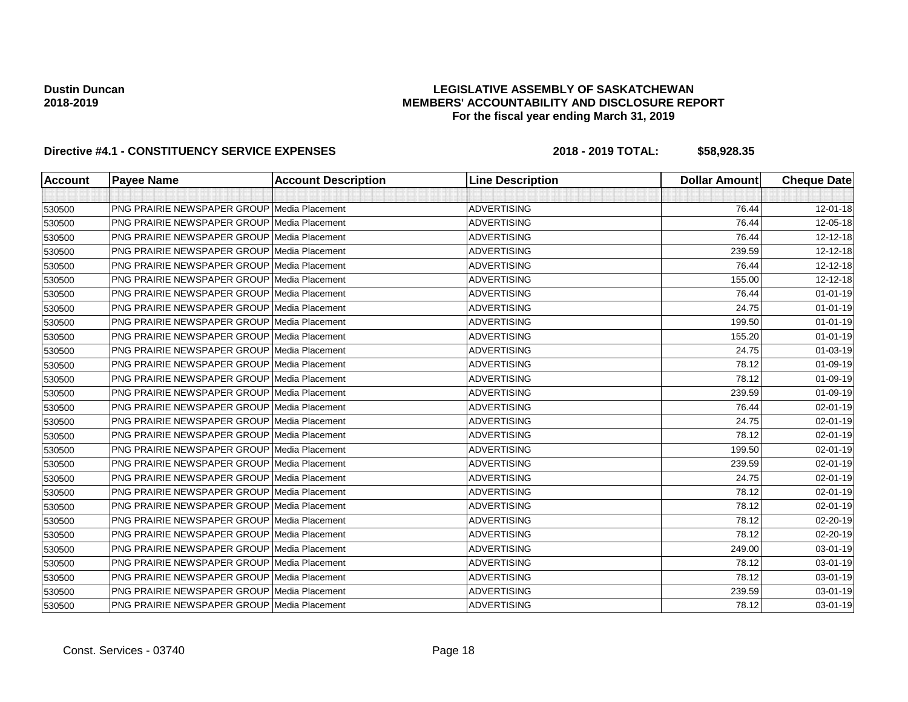## **LEGISLATIVE ASSEMBLY OF SASKATCHEWAN MEMBERS' ACCOUNTABILITY AND DISCLOSURE REPORT For the fiscal year ending March 31, 2019**

| <b>Account</b> | <b>Payee Name</b>                                  | <b>Account Description</b> | <b>Line Description</b> | <b>Dollar Amount</b> | <b>Cheque Date</b> |
|----------------|----------------------------------------------------|----------------------------|-------------------------|----------------------|--------------------|
|                |                                                    |                            |                         |                      |                    |
| 530500         | <b>PNG PRAIRIE NEWSPAPER GROUP Media Placement</b> |                            | <b>ADVERTISING</b>      | 76.44                | 12-01-18           |
| 530500         | <b>PNG PRAIRIE NEWSPAPER GROUP Media Placement</b> |                            | <b>ADVERTISING</b>      | 76.44                | 12-05-18           |
| 530500         | <b>PNG PRAIRIE NEWSPAPER GROUP Media Placement</b> |                            | <b>ADVERTISING</b>      | 76.44                | 12-12-18           |
| 530500         | <b>PNG PRAIRIE NEWSPAPER GROUP Media Placement</b> |                            | <b>ADVERTISING</b>      | 239.59               | 12-12-18           |
| 530500         | <b>PNG PRAIRIE NEWSPAPER GROUP Media Placement</b> |                            | <b>ADVERTISING</b>      | 76.44                | 12-12-18           |
| 530500         | PNG PRAIRIE NEWSPAPER GROUP Media Placement        |                            | <b>ADVERTISING</b>      | 155.00               | 12-12-18           |
| 530500         | <b>PNG PRAIRIE NEWSPAPER GROUP Media Placement</b> |                            | <b>ADVERTISING</b>      | 76.44                | $01 - 01 - 19$     |
| 530500         | <b>PNG PRAIRIE NEWSPAPER GROUP Media Placement</b> |                            | <b>ADVERTISING</b>      | 24.75                | $01 - 01 - 19$     |
| 530500         | <b>PNG PRAIRIE NEWSPAPER GROUP Media Placement</b> |                            | <b>ADVERTISING</b>      | 199.50               | $01 - 01 - 19$     |
| 530500         | <b>PNG PRAIRIE NEWSPAPER GROUP Media Placement</b> |                            | <b>ADVERTISING</b>      | 155.20               | $01 - 01 - 19$     |
| 530500         | <b>PNG PRAIRIE NEWSPAPER GROUP Media Placement</b> |                            | <b>ADVERTISING</b>      | 24.75                | 01-03-19           |
| 530500         | <b>PNG PRAIRIE NEWSPAPER GROUP Media Placement</b> |                            | <b>ADVERTISING</b>      | 78.12                | 01-09-19           |
| 530500         | <b>PNG PRAIRIE NEWSPAPER GROUP Media Placement</b> |                            | <b>ADVERTISING</b>      | 78.12                | 01-09-19           |
| 530500         | <b>PNG PRAIRIE NEWSPAPER GROUP Media Placement</b> |                            | <b>ADVERTISING</b>      | 239.59               | 01-09-19           |
| 530500         | <b>PNG PRAIRIE NEWSPAPER GROUP Media Placement</b> |                            | <b>ADVERTISING</b>      | 76.44                | 02-01-19           |
| 530500         | <b>PNG PRAIRIE NEWSPAPER GROUP Media Placement</b> |                            | <b>ADVERTISING</b>      | 24.75                | 02-01-19           |
| 530500         | PNG PRAIRIE NEWSPAPER GROUP Media Placement        |                            | <b>ADVERTISING</b>      | 78.12                | 02-01-19           |
| 530500         | <b>PNG PRAIRIE NEWSPAPER GROUP Media Placement</b> |                            | <b>ADVERTISING</b>      | 199.50               | 02-01-19           |
| 530500         | <b>PNG PRAIRIE NEWSPAPER GROUP Media Placement</b> |                            | <b>ADVERTISING</b>      | 239.59               | 02-01-19           |
| 530500         | <b>PNG PRAIRIE NEWSPAPER GROUP Media Placement</b> |                            | <b>ADVERTISING</b>      | 24.75                | 02-01-19           |
| 530500         | <b>PNG PRAIRIE NEWSPAPER GROUP Media Placement</b> |                            | <b>ADVERTISING</b>      | 78.12                | 02-01-19           |
| 530500         | <b>PNG PRAIRIE NEWSPAPER GROUP Media Placement</b> |                            | <b>ADVERTISING</b>      | 78.12                | 02-01-19           |
| 530500         | <b>PNG PRAIRIE NEWSPAPER GROUP Media Placement</b> |                            | <b>ADVERTISING</b>      | 78.12                | 02-20-19           |
| 530500         | <b>PNG PRAIRIE NEWSPAPER GROUP Media Placement</b> |                            | <b>ADVERTISING</b>      | 78.12                | 02-20-19           |
| 530500         | <b>PNG PRAIRIE NEWSPAPER GROUP Media Placement</b> |                            | <b>ADVERTISING</b>      | 249.00               | 03-01-19           |
| 530500         | <b>PNG PRAIRIE NEWSPAPER GROUP Media Placement</b> |                            | <b>ADVERTISING</b>      | 78.12                | 03-01-19           |
| 530500         | <b>PNG PRAIRIE NEWSPAPER GROUP Media Placement</b> |                            | <b>ADVERTISING</b>      | 78.12                | 03-01-19           |
| 530500         | <b>PNG PRAIRIE NEWSPAPER GROUP Media Placement</b> |                            | <b>ADVERTISING</b>      | 239.59               | 03-01-19           |
| 530500         | PNG PRAIRIE NEWSPAPER GROUP Media Placement        |                            | <b>ADVERTISING</b>      | 78.12                | 03-01-19           |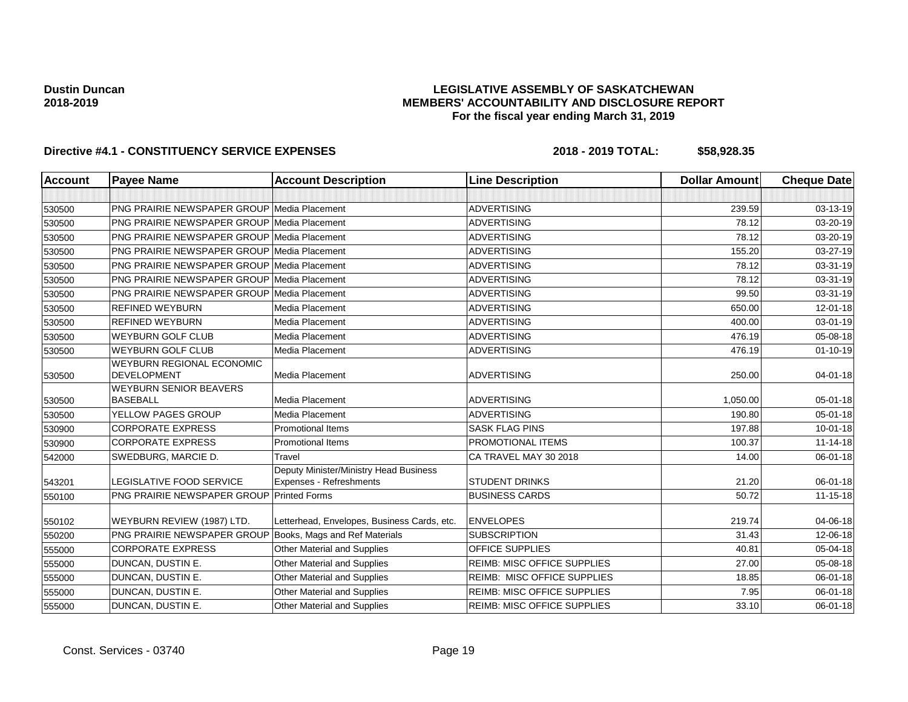## **LEGISLATIVE ASSEMBLY OF SASKATCHEWAN MEMBERS' ACCOUNTABILITY AND DISCLOSURE REPORT For the fiscal year ending March 31, 2019**

| <b>Account</b> | <b>Payee Name</b>                                      | <b>Account Description</b>                                        | <b>Line Description</b>            | <b>Dollar Amount</b> | <b>Cheque Date</b> |
|----------------|--------------------------------------------------------|-------------------------------------------------------------------|------------------------------------|----------------------|--------------------|
|                |                                                        |                                                                   |                                    |                      |                    |
| 530500         | PNG PRAIRIE NEWSPAPER GROUP Media Placement            |                                                                   | <b>ADVERTISING</b>                 | 239.59               | 03-13-19           |
| 530500         | PNG PRAIRIE NEWSPAPER GROUP Media Placement            |                                                                   | <b>ADVERTISING</b>                 | 78.12                | 03-20-19           |
| 530500         | <b>PNG PRAIRIE NEWSPAPER GROUP Media Placement</b>     |                                                                   | <b>ADVERTISING</b>                 | 78.12                | 03-20-19           |
| 530500         | <b>PNG PRAIRIE NEWSPAPER GROUP Media Placement</b>     |                                                                   | <b>ADVERTISING</b>                 | 155.20               | 03-27-19           |
| 530500         | <b>PNG PRAIRIE NEWSPAPER GROUP Media Placement</b>     |                                                                   | <b>ADVERTISING</b>                 | 78.12                | 03-31-19           |
| 530500         | <b>PNG PRAIRIE NEWSPAPER GROUP Media Placement</b>     |                                                                   | <b>ADVERTISING</b>                 | 78.12                | 03-31-19           |
| 530500         | <b>PNG PRAIRIE NEWSPAPER GROUP Media Placement</b>     |                                                                   | <b>ADVERTISING</b>                 | 99.50                | 03-31-19           |
| 530500         | <b>REFINED WEYBURN</b>                                 | Media Placement                                                   | <b>ADVERTISING</b>                 | 650.00               | 12-01-18           |
| 530500         | <b>REFINED WEYBURN</b>                                 | Media Placement                                                   | <b>ADVERTISING</b>                 | 400.00               | 03-01-19           |
| 530500         | <b>WEYBURN GOLF CLUB</b>                               | Media Placement                                                   | <b>ADVERTISING</b>                 | 476.19               | 05-08-18           |
| 530500         | <b>WEYBURN GOLF CLUB</b>                               | Media Placement                                                   | <b>ADVERTISING</b>                 | 476.19               | $01 - 10 - 19$     |
| 530500         | <b>WEYBURN REGIONAL ECONOMIC</b><br><b>DEVELOPMENT</b> | Media Placement                                                   | <b>ADVERTISING</b>                 | 250.00               | $04 - 01 - 18$     |
| 530500         | <b>WEYBURN SENIOR BEAVERS</b><br><b>BASEBALL</b>       | Media Placement                                                   | <b>ADVERTISING</b>                 | 1.050.00             | $05 - 01 - 18$     |
| 530500         | YELLOW PAGES GROUP                                     | Media Placement                                                   | <b>ADVERTISING</b>                 | 190.80               | $05 - 01 - 18$     |
| 530900         | <b>CORPORATE EXPRESS</b>                               | <b>Promotional Items</b>                                          | <b>SASK FLAG PINS</b>              | 197.88               | $10 - 01 - 18$     |
| 530900         | <b>CORPORATE EXPRESS</b>                               | <b>Promotional Items</b>                                          | PROMOTIONAL ITEMS                  | 100.37               | $11 - 14 - 18$     |
| 542000         | SWEDBURG, MARCIE D.                                    | Travel                                                            | CA TRAVEL MAY 30 2018              | 14.00                | 06-01-18           |
| 543201         | LEGISLATIVE FOOD SERVICE                               | Deputy Minister/Ministry Head Business<br>Expenses - Refreshments | <b>STUDENT DRINKS</b>              | 21.20                | $06 - 01 - 18$     |
| 550100         | PNG PRAIRIE NEWSPAPER GROUP                            | <b>Printed Forms</b>                                              | <b>BUSINESS CARDS</b>              | 50.72                | $11 - 15 - 18$     |
| 550102         | WEYBURN REVIEW (1987) LTD.                             | Letterhead, Envelopes, Business Cards, etc.                       | <b>ENVELOPES</b>                   | 219.74               | 04-06-18           |
| 550200         | <b>PNG PRAIRIE NEWSPAPER GROUP</b>                     | Books, Mags and Ref Materials                                     | <b>SUBSCRIPTION</b>                | 31.43                | 12-06-18           |
| 555000         | <b>CORPORATE EXPRESS</b>                               | Other Material and Supplies                                       | <b>OFFICE SUPPLIES</b>             | 40.81                | 05-04-18           |
| 555000         | DUNCAN, DUSTIN E.                                      | Other Material and Supplies                                       | <b>REIMB: MISC OFFICE SUPPLIES</b> | 27.00                | 05-08-18           |
| 555000         | DUNCAN, DUSTIN E.                                      | Other Material and Supplies                                       | <b>REIMB: MISC OFFICE SUPPLIES</b> | 18.85                | 06-01-18           |
| 555000         | DUNCAN, DUSTIN E.                                      | Other Material and Supplies                                       | <b>REIMB: MISC OFFICE SUPPLIES</b> | 7.95                 | 06-01-18           |
| 555000         | DUNCAN, DUSTIN E.                                      | <b>Other Material and Supplies</b>                                | <b>REIMB: MISC OFFICE SUPPLIES</b> | 33.10                | 06-01-18           |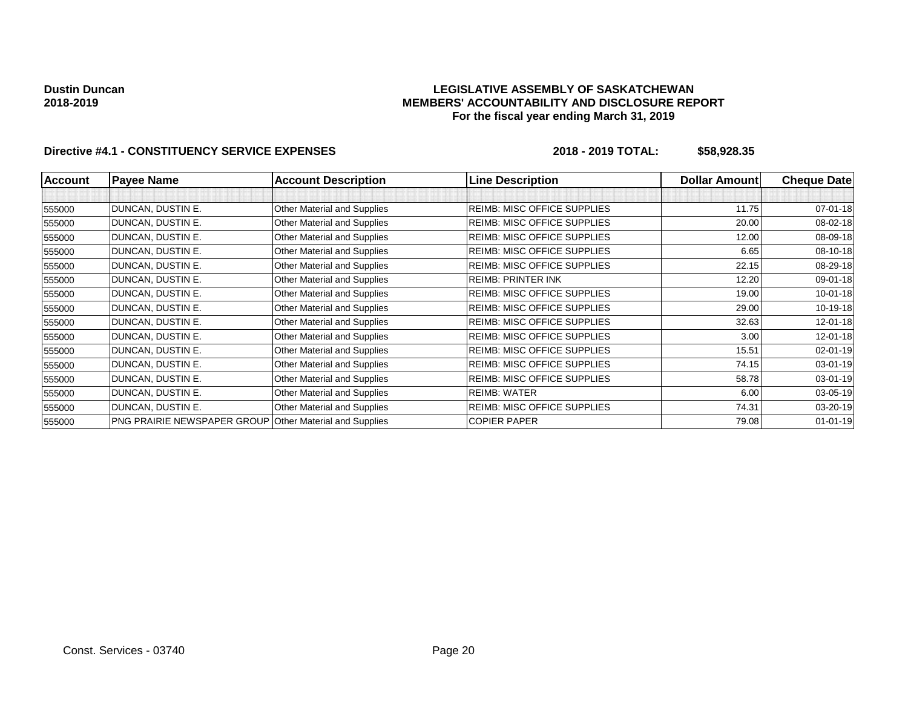## **LEGISLATIVE ASSEMBLY OF SASKATCHEWAN MEMBERS' ACCOUNTABILITY AND DISCLOSURE REPORT For the fiscal year ending March 31, 2019**

| <b>Account</b> | <b>Payee Name</b>                                              | <b>Account Description</b>         | <b>Line Description</b>            | <b>Dollar Amountl</b> | <b>Cheque Date</b> |
|----------------|----------------------------------------------------------------|------------------------------------|------------------------------------|-----------------------|--------------------|
|                |                                                                |                                    |                                    |                       |                    |
| 555000         | DUNCAN, DUSTIN E.                                              | Other Material and Supplies        | <b>REIMB: MISC OFFICE SUPPLIES</b> | 11.75                 | 07-01-18           |
| 555000         | DUNCAN, DUSTIN E.                                              | Other Material and Supplies        | <b>REIMB: MISC OFFICE SUPPLIES</b> | 20.00                 | 08-02-18           |
| 555000         | DUNCAN, DUSTIN E.                                              | Other Material and Supplies        | REIMB: MISC OFFICE SUPPLIES        | 12.00                 | 08-09-18           |
| 555000         | DUNCAN, DUSTIN E.                                              | Other Material and Supplies        | <b>REIMB: MISC OFFICE SUPPLIES</b> | 6.65                  | 08-10-18           |
| 555000         | DUNCAN, DUSTIN E.                                              | Other Material and Supplies        | <b>REIMB: MISC OFFICE SUPPLIES</b> | 22.15                 | 08-29-18           |
| 555000         | DUNCAN, DUSTIN E.                                              | Other Material and Supplies        | <b>REIMB: PRINTER INK</b>          | 12.20                 | 09-01-18           |
| 555000         | DUNCAN, DUSTIN E.                                              | Other Material and Supplies        | <b>REIMB: MISC OFFICE SUPPLIES</b> | 19.00                 | $10 - 01 - 18$     |
| 555000         | DUNCAN, DUSTIN E.                                              | Other Material and Supplies        | <b>REIMB: MISC OFFICE SUPPLIES</b> | 29.00                 | 10-19-18           |
| 555000         | DUNCAN, DUSTIN E.                                              | Other Material and Supplies        | <b>REIMB: MISC OFFICE SUPPLIES</b> | 32.63                 | $12 - 01 - 18$     |
| 555000         | DUNCAN, DUSTIN E.                                              | Other Material and Supplies        | <b>REIMB: MISC OFFICE SUPPLIES</b> | 3.00                  | $12 - 01 - 18$     |
| 555000         | DUNCAN, DUSTIN E.                                              | Other Material and Supplies        | <b>REIMB: MISC OFFICE SUPPLIES</b> | 15.51                 | 02-01-19           |
| 555000         | DUNCAN, DUSTIN E.                                              | <b>Other Material and Supplies</b> | <b>REIMB: MISC OFFICE SUPPLIES</b> | 74.15                 | 03-01-19           |
| 555000         | DUNCAN, DUSTIN E.                                              | Other Material and Supplies        | <b>REIMB: MISC OFFICE SUPPLIES</b> | 58.78                 | 03-01-19           |
| 555000         | DUNCAN, DUSTIN E.                                              | Other Material and Supplies        | <b>REIMB: WATER</b>                | 6.00                  | 03-05-19           |
| 555000         | DUNCAN, DUSTIN E.                                              | Other Material and Supplies        | <b>REIMB: MISC OFFICE SUPPLIES</b> | 74.31                 | 03-20-19           |
| 555000         | <b>PNG PRAIRIE NEWSPAPER GROUP Other Material and Supplies</b> |                                    | <b>COPIER PAPER</b>                | 79.08                 | $01 - 01 - 19$     |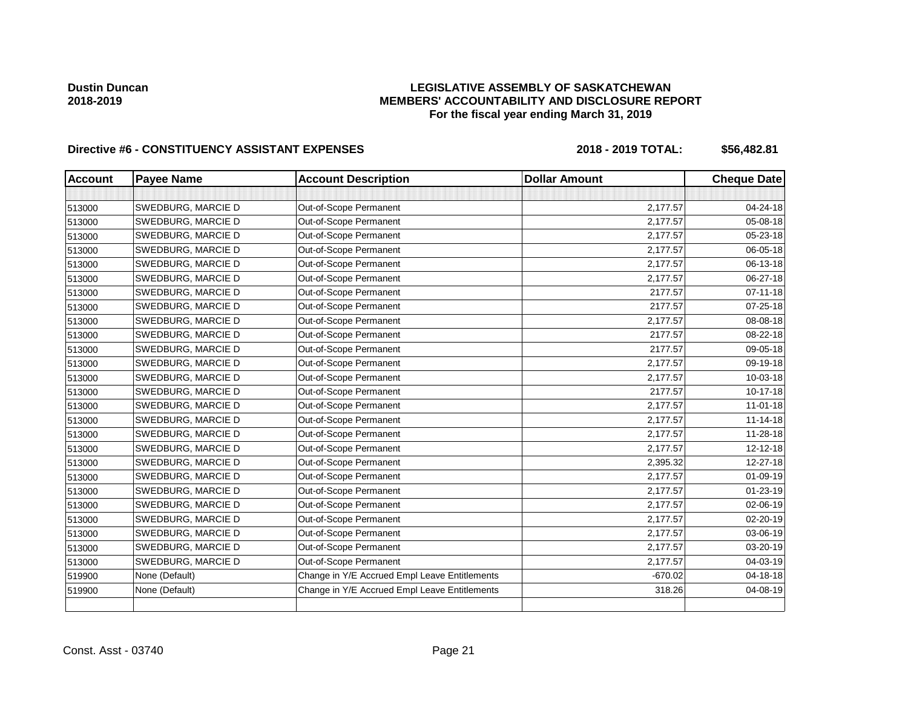## **LEGISLATIVE ASSEMBLY OF SASKATCHEWAN MEMBERS' ACCOUNTABILITY AND DISCLOSURE REPORT For the fiscal year ending March 31, 2019**

| <b>Account</b> | <b>Payee Name</b>  | <b>Account Description</b>                    | <b>Dollar Amount</b> | <b>Cheque Date</b> |
|----------------|--------------------|-----------------------------------------------|----------------------|--------------------|
|                |                    |                                               |                      |                    |
| 513000         | SWEDBURG, MARCIE D | Out-of-Scope Permanent                        | 2,177.57             | 04-24-18           |
| 513000         | SWEDBURG, MARCIE D | Out-of-Scope Permanent                        | 2,177.57             | 05-08-18           |
| 513000         | SWEDBURG, MARCIE D | Out-of-Scope Permanent                        | 2,177.57             | 05-23-18           |
| 513000         | SWEDBURG, MARCIE D | Out-of-Scope Permanent                        | 2,177.57             | 06-05-18           |
| 513000         | SWEDBURG, MARCIE D | Out-of-Scope Permanent                        | 2,177.57             | 06-13-18           |
| 513000         | SWEDBURG, MARCIE D | Out-of-Scope Permanent                        | 2,177.57             | 06-27-18           |
| 513000         | SWEDBURG, MARCIE D | Out-of-Scope Permanent                        | 2177.57              | $07 - 11 - 18$     |
| 513000         | SWEDBURG, MARCIE D | Out-of-Scope Permanent                        | 2177.57              | $07 - 25 - 18$     |
| 513000         | SWEDBURG, MARCIE D | Out-of-Scope Permanent                        | 2,177.57             | 08-08-18           |
| 513000         | SWEDBURG, MARCIE D | Out-of-Scope Permanent                        | 2177.57              | 08-22-18           |
| 513000         | SWEDBURG, MARCIE D | Out-of-Scope Permanent                        | 2177.57              | 09-05-18           |
| 513000         | SWEDBURG, MARCIE D | Out-of-Scope Permanent                        | 2,177.57             | 09-19-18           |
| 513000         | SWEDBURG, MARCIE D | Out-of-Scope Permanent                        | 2,177.57             | 10-03-18           |
| 513000         | SWEDBURG, MARCIE D | Out-of-Scope Permanent                        | 2177.57              | 10-17-18           |
| 513000         | SWEDBURG, MARCIE D | Out-of-Scope Permanent                        | 2,177.57             | $11-01-18$         |
| 513000         | SWEDBURG, MARCIE D | Out-of-Scope Permanent                        | 2,177.57             | $11 - 14 - 18$     |
| 513000         | SWEDBURG, MARCIE D | Out-of-Scope Permanent                        | 2,177.57             | 11-28-18           |
| 513000         | SWEDBURG, MARCIE D | Out-of-Scope Permanent                        | 2,177.57             | 12-12-18           |
| 513000         | SWEDBURG, MARCIE D | Out-of-Scope Permanent                        | 2,395.32             | 12-27-18           |
| 513000         | SWEDBURG, MARCIE D | Out-of-Scope Permanent                        | 2,177.57             | 01-09-19           |
| 513000         | SWEDBURG, MARCIE D | Out-of-Scope Permanent                        | 2,177.57             | $01 - 23 - 19$     |
| 513000         | SWEDBURG, MARCIE D | Out-of-Scope Permanent                        | 2,177.57             | 02-06-19           |
| 513000         | SWEDBURG, MARCIE D | Out-of-Scope Permanent                        | 2,177.57             | 02-20-19           |
| 513000         | SWEDBURG, MARCIE D | Out-of-Scope Permanent                        | 2,177.57             | 03-06-19           |
| 513000         | SWEDBURG, MARCIE D | Out-of-Scope Permanent                        | 2,177.57             | 03-20-19           |
| 513000         | SWEDBURG, MARCIE D | Out-of-Scope Permanent                        | 2,177.57             | 04-03-19           |
| 519900         | None (Default)     | Change in Y/E Accrued Empl Leave Entitlements | $-670.02$            | 04-18-18           |
| 519900         | None (Default)     | Change in Y/E Accrued Empl Leave Entitlements | 318.26               | 04-08-19           |
|                |                    |                                               |                      |                    |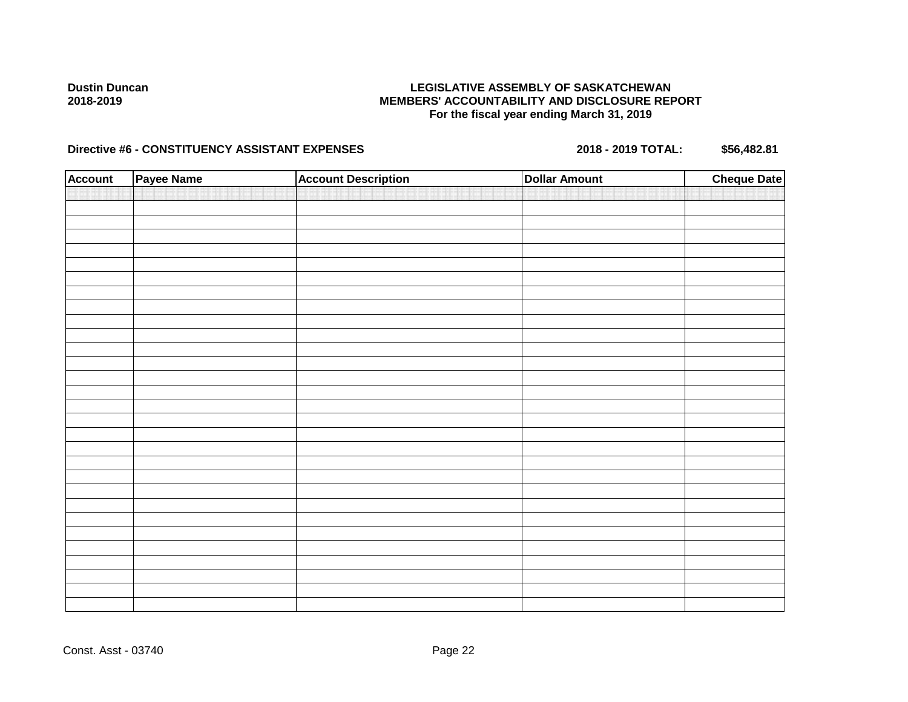## **LEGISLATIVE ASSEMBLY OF SASKATCHEWAN MEMBERS' ACCOUNTABILITY AND DISCLOSURE REPORT For the fiscal year ending March 31, 2019**

| <b>Account</b> | Payee Name | <b>Account Description</b> | <b>Dollar Amount</b> | <b>Cheque Date</b> |
|----------------|------------|----------------------------|----------------------|--------------------|
|                |            |                            |                      |                    |
|                |            |                            |                      |                    |
|                |            |                            |                      |                    |
|                |            |                            |                      |                    |
|                |            |                            |                      |                    |
|                |            |                            |                      |                    |
|                |            |                            |                      |                    |
|                |            |                            |                      |                    |
|                |            |                            |                      |                    |
|                |            |                            |                      |                    |
|                |            |                            |                      |                    |
|                |            |                            |                      |                    |
|                |            |                            |                      |                    |
|                |            |                            |                      |                    |
|                |            |                            |                      |                    |
|                |            |                            |                      |                    |
|                |            |                            |                      |                    |
|                |            |                            |                      |                    |
|                |            |                            |                      |                    |
|                |            |                            |                      |                    |
|                |            |                            |                      |                    |
|                |            |                            |                      |                    |
|                |            |                            |                      |                    |
|                |            |                            |                      |                    |
|                |            |                            |                      |                    |
|                |            |                            |                      |                    |
|                |            |                            |                      |                    |
|                |            |                            |                      |                    |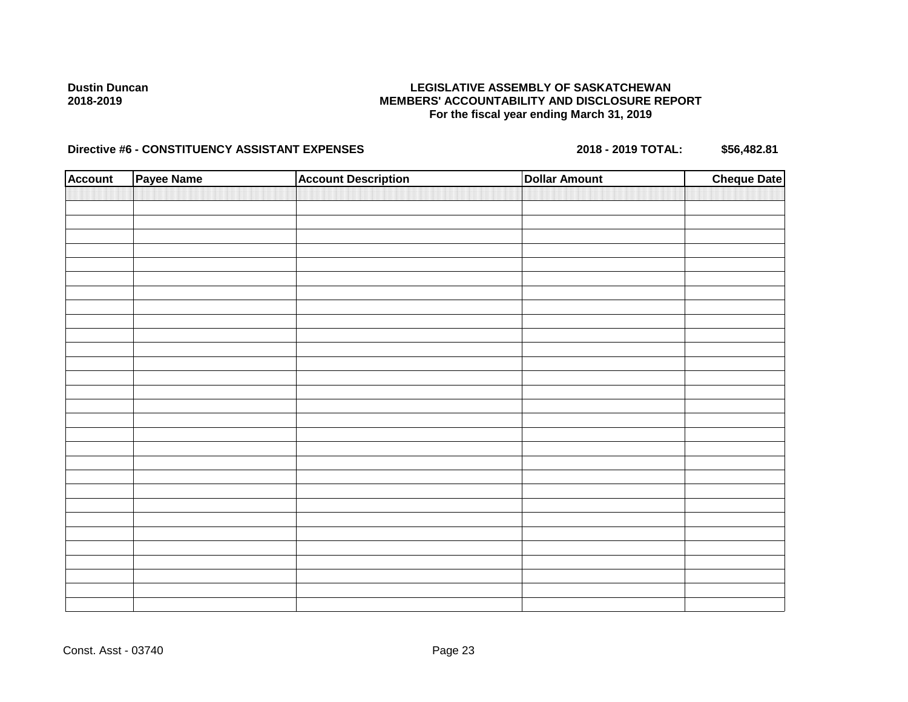## **LEGISLATIVE ASSEMBLY OF SASKATCHEWAN MEMBERS' ACCOUNTABILITY AND DISCLOSURE REPORT For the fiscal year ending March 31, 2019**

| <b>Account</b> | Payee Name | <b>Account Description</b> | <b>Dollar Amount</b> | <b>Cheque Date</b> |
|----------------|------------|----------------------------|----------------------|--------------------|
|                |            |                            |                      |                    |
|                |            |                            |                      |                    |
|                |            |                            |                      |                    |
|                |            |                            |                      |                    |
|                |            |                            |                      |                    |
|                |            |                            |                      |                    |
|                |            |                            |                      |                    |
|                |            |                            |                      |                    |
|                |            |                            |                      |                    |
|                |            |                            |                      |                    |
|                |            |                            |                      |                    |
|                |            |                            |                      |                    |
|                |            |                            |                      |                    |
|                |            |                            |                      |                    |
|                |            |                            |                      |                    |
|                |            |                            |                      |                    |
|                |            |                            |                      |                    |
|                |            |                            |                      |                    |
|                |            |                            |                      |                    |
|                |            |                            |                      |                    |
|                |            |                            |                      |                    |
|                |            |                            |                      |                    |
|                |            |                            |                      |                    |
|                |            |                            |                      |                    |
|                |            |                            |                      |                    |
|                |            |                            |                      |                    |
|                |            |                            |                      |                    |
|                |            |                            |                      |                    |